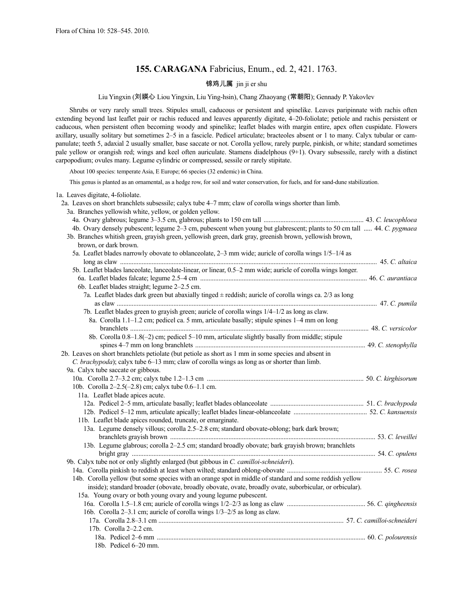# **155. CARAGANA** Fabricius, Enum., ed. 2, 421. 1763.

# 锦鸡儿属 jin ji er shu

Liu Yingxin (刘媖心 Liou Yingxin, Liu Ying-hsin), Chang Zhaoyang (常朝阳); Gennady P. Yakovlev

Shrubs or very rarely small trees. Stipules small, caducous or persistent and spinelike. Leaves paripinnate with rachis often extending beyond last leaflet pair or rachis reduced and leaves apparently digitate, 4–20-foliolate; petiole and rachis persistent or caducous, when persistent often becoming woody and spinelike; leaflet blades with margin entire, apex often cuspidate. Flowers axillary, usually solitary but sometimes 2–5 in a fascicle. Pedicel articulate; bracteoles absent or 1 to many. Calyx tubular or campanulate; teeth 5, adaxial 2 usually smaller, base saccate or not. Corolla yellow, rarely purple, pinkish, or white; standard sometimes pale yellow or orangish red; wings and keel often auriculate. Stamens diadelphous (9+1). Ovary subsessile, rarely with a distinct carpopodium; ovules many. Legume cylindric or compressed, sessile or rarely stipitate.

About 100 species: temperate Asia, E Europe; 66 species (32 endemic) in China.

This genus is planted as an ornamental, as a hedge row, for soil and water conservation, for fuels, and for sand-dune stabilization.

| 1a. Leaves digitate, 4-foliolate.                                                                                      |  |
|------------------------------------------------------------------------------------------------------------------------|--|
| 2a. Leaves on short branchlets subsessile; calyx tube 4–7 mm; claw of corolla wings shorter than limb.                 |  |
| 3a. Branches yellowish white, yellow, or golden yellow.                                                                |  |
|                                                                                                                        |  |
| 4b. Ovary densely pubescent; legume 2-3 cm, pubescent when young but glabrescent; plants to 50 cm tall  44. C. pygmaea |  |
| 3b. Branches whitish green, grayish green, yellowish green, dark gray, greenish brown, yellowish brown,                |  |
| brown, or dark brown.                                                                                                  |  |
| 5a. Leaflet blades narrowly obovate to oblanceolate, 2–3 mm wide; auricle of corolla wings 1/5–1/4 as                  |  |
|                                                                                                                        |  |
| 5b. Leaflet blades lanceolate, lanceolate-linear, or linear, 0.5–2 mm wide; auricle of corolla wings longer.           |  |
|                                                                                                                        |  |
| 6b. Leaflet blades straight; legume 2-2.5 cm.                                                                          |  |
| 7a. Leaflet blades dark green but abaxially tinged $\pm$ reddish; auricle of corolla wings ca. 2/3 as long             |  |
|                                                                                                                        |  |
| 7b. Leaflet blades green to grayish green; auricle of corolla wings 1/4–1/2 as long as claw.                           |  |
| 8a. Corolla 1.1–1.2 cm; pedicel ca. 5 mm, articulate basally; stipule spines 1–4 mm on long                            |  |
|                                                                                                                        |  |
| 8b. Corolla 0.8-1.8(-2) cm; pedicel 5-10 mm, articulate slightly basally from middle; stipule                          |  |
|                                                                                                                        |  |
| 2b. Leaves on short branchlets petiolate (but petiole as short as 1 mm in some species and absent in                   |  |
| C. brachypoda); calyx tube 6–13 mm; claw of corolla wings as long as or shorter than limb.                             |  |
| 9a. Calyx tube saccate or gibbous.                                                                                     |  |
|                                                                                                                        |  |
| 10b. Corolla 2-2.5(-2.8) cm; calyx tube 0.6-1.1 cm.                                                                    |  |
| 11a. Leaflet blade apices acute.                                                                                       |  |
|                                                                                                                        |  |
|                                                                                                                        |  |
| 11b. Leaflet blade apices rounded, truncate, or emarginate.                                                            |  |
| 13a. Legume densely villous; corolla 2.5-2.8 cm; standard obovate-oblong; bark dark brown;                             |  |
|                                                                                                                        |  |
| 13b. Legume glabrous; corolla 2-2.5 cm; standard broadly obovate; bark grayish brown; branchlets                       |  |
|                                                                                                                        |  |
| 9b. Calyx tube not or only slightly enlarged (but gibbous in C. camilloi-schneideri).                                  |  |
|                                                                                                                        |  |
| 14b. Corolla yellow (but some species with an orange spot in middle of standard and some reddish yellow                |  |
| inside); standard broader (obovate, broadly obovate, ovate, broadly ovate, suborbicular, or orbicular).                |  |
| 15a. Young ovary or both young ovary and young legume pubescent.                                                       |  |
|                                                                                                                        |  |
| 16b. Corolla 2–3.1 cm; auricle of corolla wings 1/3–2/5 as long as claw.                                               |  |
|                                                                                                                        |  |
| 17b. Corolla 2-2.2 cm.                                                                                                 |  |
|                                                                                                                        |  |
| 18b. Pedicel 6–20 mm.                                                                                                  |  |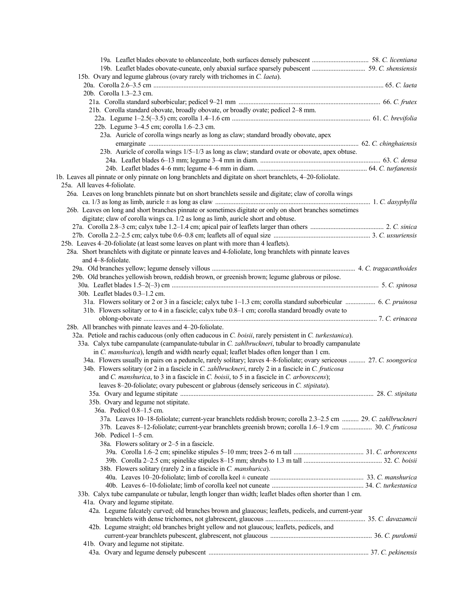| 15b. Ovary and legume glabrous (ovary rarely with trichomes in C. laeta).                                              |  |
|------------------------------------------------------------------------------------------------------------------------|--|
|                                                                                                                        |  |
| 20b. Corolla 1.3–2.3 cm.                                                                                               |  |
|                                                                                                                        |  |
| 21b. Corolla standard obovate, broadly obovate, or broadly ovate; pedicel 2-8 mm.                                      |  |
|                                                                                                                        |  |
| 22b. Legume 3-4.5 cm; corolla 1.6-2.3 cm.                                                                              |  |
| 23a. Auricle of corolla wings nearly as long as claw; standard broadly obovate, apex                                   |  |
|                                                                                                                        |  |
| 23b. Auricle of corolla wings 1/5-1/3 as long as claw; standard ovate or obovate, apex obtuse.                         |  |
|                                                                                                                        |  |
|                                                                                                                        |  |
| 1b. Leaves all pinnate or only pinnate on long branchlets and digitate on short branchlets, 4-20-foliolate.            |  |
| 25a. All leaves 4-foliolate.                                                                                           |  |
| 26a. Leaves on long branchlets pinnate but on short branchlets sessile and digitate; claw of corolla wings             |  |
|                                                                                                                        |  |
| 26b. Leaves on long and short branches pinnate or sometimes digitate or only on short branches sometimes               |  |
| digitate; claw of corolla wings ca. 1/2 as long as limb, auricle short and obtuse.                                     |  |
|                                                                                                                        |  |
|                                                                                                                        |  |
| 25b. Leaves 4-20-foliolate (at least some leaves on plant with more than 4 leaflets).                                  |  |
| 28a. Short branchlets with digitate or pinnate leaves and 4-foliolate, long branchlets with pinnate leaves             |  |
| and 4-8-foliolate.                                                                                                     |  |
|                                                                                                                        |  |
| 29b. Old branches yellowish brown, reddish brown, or greenish brown; legume glabrous or pilose.                        |  |
|                                                                                                                        |  |
| 30b. Leaflet blades 0.3-1.2 cm.                                                                                        |  |
| 31a. Flowers solitary or 2 or 3 in a fascicle; calyx tube 1-1.3 cm; corolla standard suborbicular  6. C. pruinosa      |  |
| 31b. Flowers solitary or to 4 in a fascicle; calyx tube 0.8–1 cm; corolla standard broadly ovate to                    |  |
|                                                                                                                        |  |
| 28b. All branches with pinnate leaves and 4-20-foliolate.                                                              |  |
| 32a. Petiole and rachis caducous (only often caducous in C. boisii, rarely persistent in C. turkestanica).             |  |
| 33a. Calyx tube campanulate (campanulate-tubular in C. zahlbruckneri, tubular to broadly campanulate                   |  |
| in C. manshurica), length and width nearly equal; leaflet blades often longer than 1 cm.                               |  |
| 34a. Flowers usually in pairs on a peduncle, rarely solitary; leaves 4–8-foliolate; ovary sericeous  27. C. soongorica |  |
| 34b. Flowers solitary (or 2 in a fascicle in C. zahlbruckneri, rarely 2 in a fascicle in C. fruticosa                  |  |
| and C. manshurica, to 3 in a fascicle in C. boisii, to 5 in a fascicle in C. arborescens);                             |  |
| leaves 8-20-foliolate; ovary pubescent or glabrous (densely sericeous in C. stipitata).                                |  |
|                                                                                                                        |  |
| 35b. Ovary and legume not stipitate.                                                                                   |  |
| 36a. Pedicel 0.8-1.5 cm.                                                                                               |  |
| 37a. Leaves 10-18-foliolate; current-year branchlets reddish brown; corolla 2.3-2.5 cm  29. C. zahlbruckneri           |  |
| 37b. Leaves 8-12-foliolate; current-year branchlets greenish brown; corolla 1.6-1.9 cm  30. C. fruticosa               |  |
| $36b$ . Pedicel $1-5$ cm.                                                                                              |  |
| 38a. Flowers solitary or 2–5 in a fascicle.                                                                            |  |
|                                                                                                                        |  |
|                                                                                                                        |  |
| 38b. Flowers solitary (rarely 2 in a fascicle in C. manshurica).                                                       |  |
|                                                                                                                        |  |
|                                                                                                                        |  |
| 33b. Calyx tube campanulate or tubular, length longer than width; leaflet blades often shorter than 1 cm.              |  |
| 41a. Ovary and legume stipitate.                                                                                       |  |
| 42a. Legume falcately curved; old branches brown and glaucous; leaflets, pedicels, and current-year                    |  |
|                                                                                                                        |  |
| 42b. Legume straight; old branches bright yellow and not glaucous; leaflets, pedicels, and                             |  |
|                                                                                                                        |  |
| 41b. Ovary and legume not stipitate.                                                                                   |  |
|                                                                                                                        |  |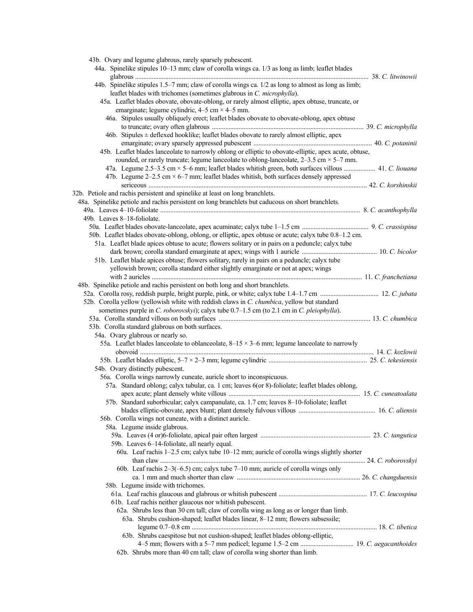| 43b. Ovary and legume glabrous, rarely sparsely pubescent.                                                                                                                                                                     |  |
|--------------------------------------------------------------------------------------------------------------------------------------------------------------------------------------------------------------------------------|--|
| 44a. Spinelike stipules 10–13 mm; claw of corolla wings ca. 1/3 as long as limb; leaflet blades                                                                                                                                |  |
|                                                                                                                                                                                                                                |  |
| 44b. Spinelike stipules 1.5–7 mm; claw of corolla wings ca. 1/2 as long to almost as long as limb;                                                                                                                             |  |
| leaflet blades with trichomes (sometimes glabrous in C. microphylla).                                                                                                                                                          |  |
| 45a. Leaflet blades obovate, obovate-oblong, or rarely almost elliptic, apex obtuse, truncate, or                                                                                                                              |  |
| emarginate; legume cylindric, $4-5$ cm $\times$ 4-5 mm.                                                                                                                                                                        |  |
| 46a. Stipules usually obliquely erect; leaflet blades obovate to obovate-oblong, apex obtuse                                                                                                                                   |  |
|                                                                                                                                                                                                                                |  |
| 46b. Stipules $\pm$ deflexed hooklike; leaflet blades obovate to rarely almost elliptic, apex                                                                                                                                  |  |
|                                                                                                                                                                                                                                |  |
| 45b. Leaflet blades lanceolate to narrowly oblong or elliptic to obovate-elliptic, apex acute, obtuse,                                                                                                                         |  |
| rounded, or rarely truncate; legume lanceolate to oblong-lanceolate, $2-3.5$ cm $\times$ 5-7 mm.                                                                                                                               |  |
| 47a. Legume 2.5–3.5 cm × 5–6 mm; leaflet blades whitish green, both surfaces villous  41. C. liouana                                                                                                                           |  |
| 47b. Legume $2-2.5$ cm $\times$ 6-7 mm; leaflet blades whitish, both surfaces densely appressed                                                                                                                                |  |
|                                                                                                                                                                                                                                |  |
| 32b. Petiole and rachis persistent and spinelike at least on long branchlets.                                                                                                                                                  |  |
| 48a. Spinelike petiole and rachis persistent on long branchlets but caducous on short branchlets.                                                                                                                              |  |
| 49a. Leaves 4-10-foliolate manufacture and content and the set of the set of the set of the set of the set of the set of the set of the set of the set of the set of the set of the set of the set of the set of the set of th |  |
| 49b. Leaves 8–18-foliolate.                                                                                                                                                                                                    |  |
|                                                                                                                                                                                                                                |  |
| 50b. Leaflet blades obovate-oblong, oblong, or elliptic, apex obtuse or acute; calyx tube 0.8-1.2 cm.                                                                                                                          |  |
| 51a. Leaflet blade apices obtuse to acute; flowers solitary or in pairs on a peduncle; calyx tube                                                                                                                              |  |
|                                                                                                                                                                                                                                |  |
| 51b. Leaflet blade apices obtuse; flowers solitary, rarely in pairs on a peduncle; calyx tube                                                                                                                                  |  |
| yellowish brown; corolla standard either slightly emarginate or not at apex; wings                                                                                                                                             |  |
|                                                                                                                                                                                                                                |  |
| 48b. Spinelike petiole and rachis persistent on both long and short branchlets.                                                                                                                                                |  |
|                                                                                                                                                                                                                                |  |
| 52b. Corolla yellow (yellowish white with reddish claws in C. chumbica, yellow but standard                                                                                                                                    |  |
| sometimes purple in C. roborovskyi); calyx tube 0.7–1.5 cm (to 2.1 cm in C. pleiophylla).                                                                                                                                      |  |
|                                                                                                                                                                                                                                |  |
| 53b. Corolla standard glabrous on both surfaces.                                                                                                                                                                               |  |
| 54a. Ovary glabrous or nearly so.                                                                                                                                                                                              |  |
| 55a. Leaflet blades lanceolate to oblanceolate, $8-15 \times 3-6$ mm; legume lanceolate to narrowly                                                                                                                            |  |
|                                                                                                                                                                                                                                |  |
|                                                                                                                                                                                                                                |  |
| 54b. Ovary distinctly pubescent.                                                                                                                                                                                               |  |
| 56a. Corolla wings narrowly cuneate, auricle short to inconspicuous.                                                                                                                                                           |  |
| 57a. Standard oblong; calyx tubular, ca. 1 cm; leaves 6(or 8)-foliolate; leaflet blades oblong,                                                                                                                                |  |
|                                                                                                                                                                                                                                |  |
| 57b. Standard suborbicular; calyx campanulate, ca. 1.7 cm; leaves 8-10-foliolate; leaflet                                                                                                                                      |  |
|                                                                                                                                                                                                                                |  |
| 56b. Corolla wings not cuneate, with a distinct auricle.                                                                                                                                                                       |  |
| 58a. Legume inside glabrous.                                                                                                                                                                                                   |  |
|                                                                                                                                                                                                                                |  |
| 59b. Leaves 6-14-foliolate, all nearly equal.                                                                                                                                                                                  |  |
| 60a. Leaf rachis 1-2.5 cm; calyx tube 10-12 mm; auricle of corolla wings slightly shorter                                                                                                                                      |  |
|                                                                                                                                                                                                                                |  |
| 60b. Leaf rachis $2-3(-6.5)$ cm; calyx tube $7-10$ mm; auricle of corolla wings only                                                                                                                                           |  |
|                                                                                                                                                                                                                                |  |
| 58b. Legume inside with trichomes.                                                                                                                                                                                             |  |
|                                                                                                                                                                                                                                |  |
| 61b. Leaf rachis neither glaucous nor whitish pubescent.                                                                                                                                                                       |  |
| 62a. Shrubs less than 30 cm tall; claw of corolla wing as long as or longer than limb.                                                                                                                                         |  |
| 63a. Shrubs cushion-shaped; leaflet blades linear, 8-12 mm; flowers subsessile;                                                                                                                                                |  |
|                                                                                                                                                                                                                                |  |
| 63b. Shrubs caespitose but not cushion-shaped; leaflet blades oblong-elliptic,                                                                                                                                                 |  |
|                                                                                                                                                                                                                                |  |
| 62b. Shrubs more than 40 cm tall; claw of corolla wing shorter than limb.                                                                                                                                                      |  |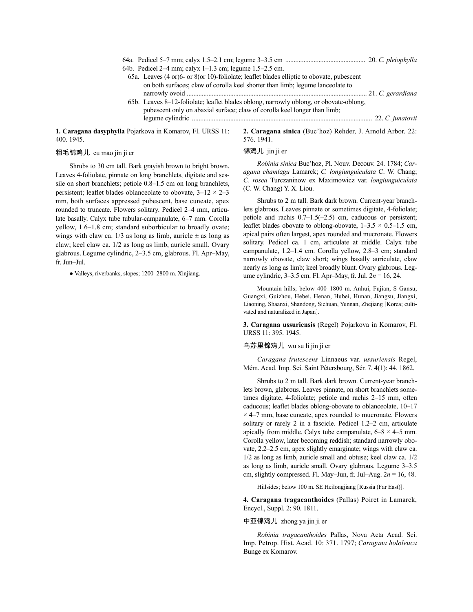| 64b. Pedicel 2–4 mm; calvx 1–1.3 cm; legume $1.5-2.5$ cm.                                                  |  |
|------------------------------------------------------------------------------------------------------------|--|
| 65a. Leaves (4 or)6- or 8(or 10)-foliolate; leaflet blades elliptic to obovate, pubescent                  |  |
| on both surfaces; claw of corolla keel shorter than limb; legume lanceolate to                             |  |
|                                                                                                            |  |
| 65b. Leaves 8–12-foliolate; leaflet blades oblong, narrowly oblong, or obovate-oblong,                     |  |
| pubescent only on abaxial surface; claw of corolla keel longer than limb;                                  |  |
|                                                                                                            |  |
| <b>Ila Pojarkova in Komarov. Fl. URSS 11:</b><br>2. Caragana sinica (Buc'hoz) Rehder, J. Arnold Arbor, 22: |  |

**1. Caragana dasyphylla** Pojarkova in Komarov, Fl. URSS 11: 400. 1945.

### 粗毛锦鸡儿 cu mao jin ji er

锦鸡儿 jin ji er

576. 1941.

Shrubs to 30 cm tall. Bark grayish brown to bright brown. Leaves 4-foliolate, pinnate on long branchlets, digitate and sessile on short branchlets; petiole 0.8–1.5 cm on long branchlets, persistent; leaflet blades oblanceolate to obovate,  $3-12 \times 2-3$ mm, both surfaces appressed pubescent, base cuneate, apex rounded to truncate. Flowers solitary. Pedicel 2–4 mm, articulate basally. Calyx tube tubular-campanulate, 6–7 mm. Corolla yellow, 1.6–1.8 cm; standard suborbicular to broadly ovate; wings with claw ca.  $1/3$  as long as limb, auricle  $\pm$  as long as claw; keel claw ca. 1/2 as long as limb, auricle small. Ovary glabrous. Legume cylindric, 2–3.5 cm, glabrous. Fl. Apr–May, fr. Jun–Jul.

● Valleys, riverbanks, slopes; 1200–2800 m. Xinjiang.

*Robinia sinica* Buc'hoz, Pl. Nouv. Decouv. 24. 1784; *Caragana chamlagu* Lamarck; *C. longiunguiculata* C. W. Chang; *C. rosea* Turczaninow ex Maximowicz var. *longiunguiculata* (C. W. Chang) Y. X. Liou.

Shrubs to 2 m tall. Bark dark brown. Current-year branchlets glabrous. Leaves pinnate or sometimes digitate, 4-foliolate; petiole and rachis 0.7–1.5(–2.5) cm, caducous or persistent; leaflet blades obovate to oblong-obovate,  $1-3.5 \times 0.5-1.5$  cm, apical pairs often largest, apex rounded and mucronate. Flowers solitary. Pedicel ca. 1 cm, articulate at middle. Calyx tube campanulate, 1.2–1.4 cm. Corolla yellow, 2.8–3 cm; standard narrowly obovate, claw short; wings basally auriculate, claw nearly as long as limb; keel broadly blunt. Ovary glabrous. Legume cylindric, 3–3.5 cm. Fl. Apr–May, fr. Jul. 2*n* = 16, 24.

Mountain hills; below 400–1800 m. Anhui, Fujian, S Gansu, Guangxi, Guizhou, Hebei, Henan, Hubei, Hunan, Jiangsu, Jiangxi, Liaoning, Shaanxi, Shandong, Sichuan, Yunnan, Zhejiang [Korea; cultivated and naturalized in Japan].

**3. Caragana ussuriensis** (Regel) Pojarkova in Komarov, Fl. URSS 11: 395. 1945.

### 乌苏里锦鸡儿 wu su li jin ji er

*Caragana frutescens* Linnaeus var. *ussuriensis* Regel, Mém. Acad. Imp. Sci. Saint Pétersbourg, Sér. 7, 4(1): 44. 1862.

Shrubs to 2 m tall. Bark dark brown. Current-year branchlets brown, glabrous. Leaves pinnate, on short branchlets sometimes digitate, 4-foliolate; petiole and rachis 2–15 mm, often caducous; leaflet blades oblong-obovate to oblanceolate, 10–17  $\times$  4–7 mm, base cuneate, apex rounded to mucronate. Flowers solitary or rarely 2 in a fascicle. Pedicel 1.2–2 cm, articulate apically from middle. Calyx tube campanulate,  $6-8 \times 4-5$  mm. Corolla yellow, later becoming reddish; standard narrowly obovate, 2.2–2.5 cm, apex slightly emarginate; wings with claw ca. 1/2 as long as limb, auricle small and obtuse; keel claw ca. 1/2 as long as limb, auricle small. Ovary glabrous. Legume 3–3.5 cm, slightly compressed. Fl. May–Jun, fr. Jul–Aug. 2*n* = 16, 48.

Hillsides; below 100 m. SE Heilongjiang [Russia (Far East)].

**4. Caragana tragacanthoides** (Pallas) Poiret in Lamarck, Encycl., Suppl. 2: 90. 1811.

## 中亚锦鸡儿 zhong ya jin ji er

*Robinia tragacanthoides* Pallas, Nova Acta Acad. Sci. Imp. Petrop. Hist. Acad. 10: 371. 1797; *Caragana hololeuca* Bunge ex Komarov.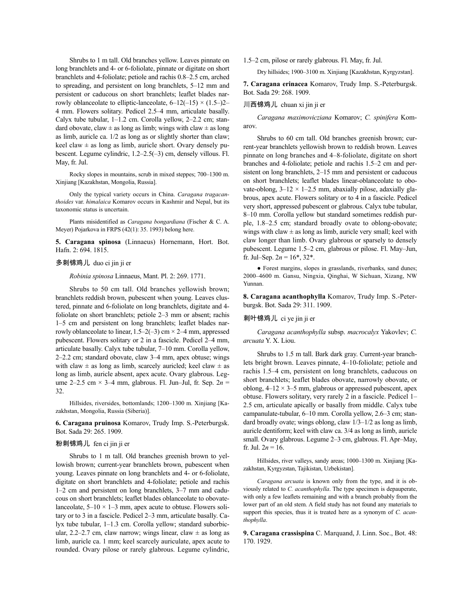Shrubs to 1 m tall. Old branches yellow. Leaves pinnate on long branchlets and 4- or 6-foliolate, pinnate or digitate on short branchlets and 4-foliolate; petiole and rachis 0.8–2.5 cm, arched to spreading, and persistent on long branchlets, 5–12 mm and persistent or caducous on short branchlets; leaflet blades narrowly oblanceolate to elliptic-lanceolate,  $6-12(-15) \times (1.5-2)$ 4 mm. Flowers solitary. Pedicel 2.5–4 mm, articulate basally. Calyx tube tubular, 1–1.2 cm. Corolla yellow, 2–2.2 cm; standard obovate, claw  $\pm$  as long as limb; wings with claw  $\pm$  as long as limb, auricle ca. 1/2 as long as or slightly shorter than claw; keel claw  $\pm$  as long as limb, auricle short. Ovary densely pubescent. Legume cylindric, 1.2–2.5(–3) cm, densely villous. Fl. May, fr. Jul.

Rocky slopes in mountains, scrub in mixed steppes; 700–1300 m. Xinjiang [Kazakhstan, Mongolia, Russia].

Only the typical variety occurs in China. *Caragana tragacanthoides* var. *himalaica* Komarov occurs in Kashmir and Nepal, but its taxonomic status is uncertain.

Plants misidentified as *Caragana bongardiana* (Fischer & C. A. Meyer) Pojarkova in FRPS (42(1): 35. 1993) belong here.

**5. Caragana spinosa** (Linnaeus) Hornemann, Hort. Bot. Hafn. 2: 694. 1815.

### 多刺锦鸡儿 duo ci jin ji er

*Robinia spinosa* Linnaeus, Mant. Pl. 2: 269. 1771.

Shrubs to 50 cm tall. Old branches yellowish brown; branchlets reddish brown, pubescent when young. Leaves clustered, pinnate and 6-foliolate on long branchlets, digitate and 4 foliolate on short branchlets; petiole 2–3 mm or absent; rachis 1–5 cm and persistent on long branchlets; leaflet blades narrowly oblanceolate to linear,  $1.5-2(-3)$  cm  $\times$  2-4 mm, appressed pubescent. Flowers solitary or 2 in a fascicle. Pedicel 2–4 mm, articulate basally. Calyx tube tubular, 7–10 mm. Corolla yellow, 2–2.2 cm; standard obovate, claw 3–4 mm, apex obtuse; wings with claw  $\pm$  as long as limb, scarcely auricled; keel claw  $\pm$  as long as limb, auricle absent, apex acute. Ovary glabrous. Legume 2–2.5 cm  $\times$  3–4 mm, glabrous. Fl. Jun–Jul, fr. Sep.  $2n =$ 32.

Hillsides, riversides, bottomlands; 1200–1300 m. Xinjiang [Kazakhstan, Mongolia, Russia (Siberia)].

**6. Caragana pruinosa** Komarov, Trudy Imp. S.-Peterburgsk. Bot. Sada 29: 265. 1909.

#### 粉刺锦鸡儿 fen ci jin ji er

Shrubs to 1 m tall. Old branches greenish brown to yellowish brown; current-year branchlets brown, pubescent when young. Leaves pinnate on long branchlets and 4- or 6-foliolate, digitate on short branchlets and 4-foliolate; petiole and rachis 1–2 cm and persistent on long branchlets, 3–7 mm and caducous on short branchlets; leaflet blades oblanceolate to obovatelanceolate,  $5-10 \times 1-3$  mm, apex acute to obtuse. Flowers solitary or to 3 in a fascicle. Pedicel 2–3 mm, articulate basally. Calyx tube tubular, 1–1.3 cm. Corolla yellow; standard suborbicular, 2.2–2.7 cm, claw narrow; wings linear, claw  $\pm$  as long as limb, auricle ca. 1 mm; keel scarcely auriculate, apex acute to rounded. Ovary pilose or rarely glabrous. Legume cylindric, 1.5–2 cm, pilose or rarely glabrous. Fl. May, fr. Jul.

Dry hillsides; 1900–3100 m. Xinjiang [Kazakhstan, Kyrgyzstan].

**7. Caragana erinacea** Komarov, Trudy Imp. S.-Peterburgsk. Bot. Sada 29: 268. 1909.

#### 川西锦鸡儿 chuan xi jin ji er

*Caragana maximovicziana* Komarov; *C. spinifera* Komarov.

Shrubs to 60 cm tall. Old branches greenish brown; current-year branchlets yellowish brown to reddish brown. Leaves pinnate on long branches and 4–8-foliolate, digitate on short branches and 4-foliolate; petiole and rachis 1.5–2 cm and persistent on long branchlets, 2–15 mm and persistent or caducous on short branchlets; leaflet blades linear-oblanceolate to obovate-oblong,  $3-12 \times 1-2.5$  mm, abaxially pilose, adaxially glabrous, apex acute. Flowers solitary or to 4 in a fascicle. Pedicel very short, appressed pubescent or glabrous. Calyx tube tubular, 8–10 mm. Corolla yellow but standard sometimes reddish purple, 1.8–2.5 cm; standard broadly ovate to oblong-obovate; wings with claw  $\pm$  as long as limb, auricle very small; keel with claw longer than limb. Ovary glabrous or sparsely to densely pubescent. Legume 1.5–2 cm, glabrous or pilose. Fl. May–Jun, fr. Jul–Sep.  $2n = 16^*$ ,  $32^*$ .

● Forest margins, slopes in grasslands, riverbanks, sand dunes; 2000–4600 m. Gansu, Ningxia, Qinghai, W Sichuan, Xizang, NW Yunnan.

**8. Caragana acanthophylla** Komarov, Trudy Imp. S.-Peterburgsk. Bot. Sada 29: 311. 1909.

### 刺叶锦鸡儿 ci ye jin ji er

*Caragana acanthophylla* subsp. *macrocalyx* Yakovlev; *C. arcuata* Y. X. Liou.

Shrubs to 1.5 m tall. Bark dark gray. Current-year branchlets bright brown. Leaves pinnate, 4–10-foliolate; petiole and rachis 1.5–4 cm, persistent on long branchlets, caducous on short branchlets; leaflet blades obovate, narrowly obovate, or oblong,  $4-12 \times 3-5$  mm, glabrous or appressed pubescent, apex obtuse. Flowers solitary, very rarely 2 in a fascicle. Pedicel 1– 2.5 cm, articulate apically or basally from middle. Calyx tube campanulate-tubular, 6–10 mm. Corolla yellow, 2.6–3 cm; standard broadly ovate; wings oblong, claw 1/3–1/2 as long as limb, auricle dentiform; keel with claw ca. 3/4 as long as limb, auricle small. Ovary glabrous. Legume 2–3 cm, glabrous. Fl. Apr–May, fr. Jul.  $2n = 16$ .

Hillsides, river valleys, sandy areas; 1000–1300 m. Xinjiang [Kazakhstan, Kyrgyzstan, Tajikistan, Uzbekistan].

*Caragana arcuata* is known only from the type, and it is obviously related to *C. acanthophylla*. The type specimen is depauperate, with only a few leaflets remaining and with a branch probably from the lower part of an old stem. A field study has not found any materials to support this species, thus it is treated here as a synonym of *C. acanthophylla*.

**9. Caragana crassispina** C. Marquand, J. Linn. Soc., Bot. 48: 170. 1929.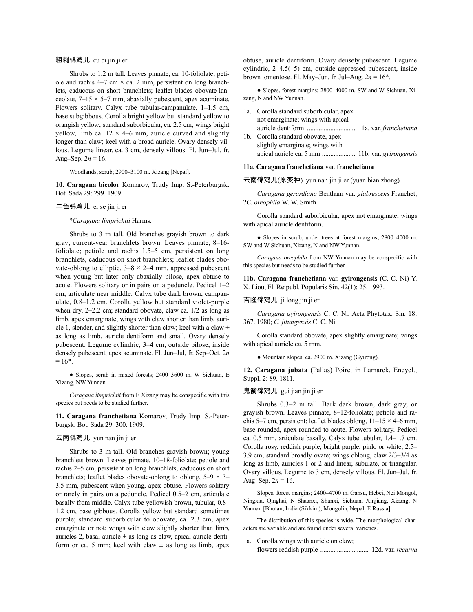### 粗刺锦鸡儿 cu ci jin ji er

Shrubs to 1.2 m tall. Leaves pinnate, ca. 10-foliolate; petiole and rachis  $4-7$  cm  $\times$  ca. 2 mm, persistent on long branchlets, caducous on short branchlets; leaflet blades obovate-lanceolate,  $7-15 \times 5-7$  mm, abaxially pubescent, apex acuminate. Flowers solitary. Calyx tube tubular-campanulate, 1–1.5 cm, base subgibbous. Corolla bright yellow but standard yellow to orangish yellow; standard suborbicular, ca. 2.5 cm; wings bright yellow, limb ca.  $12 \times 4$ –6 mm, auricle curved and slightly longer than claw; keel with a broad auricle. Ovary densely villous. Legume linear, ca. 3 cm, densely villous. Fl. Jun–Jul, fr. Aug–Sep.  $2n = 16$ .

Woodlands, scrub; 2900–3100 m. Xizang [Nepal].

**10. Caragana bicolor** Komarov, Trudy Imp. S.-Peterburgsk. Bot. Sada 29: 299. 1909.

### 二色锦鸡儿 er se jin ji er

?*Caragana limprichtii* Harms.

Shrubs to 3 m tall. Old branches grayish brown to dark gray; current-year branchlets brown. Leaves pinnate, 8–16 foliolate; petiole and rachis 1.5–5 cm, persistent on long branchlets, caducous on short branchlets; leaflet blades obovate-oblong to elliptic,  $3-8 \times 2-4$  mm, appressed pubescent when young but later only abaxially pilose, apex obtuse to acute. Flowers solitary or in pairs on a peduncle. Pedicel 1–2 cm, articulate near middle. Calyx tube dark brown, campanulate, 0.8–1.2 cm. Corolla yellow but standard violet-purple when dry, 2–2.2 cm; standard obovate, claw ca. 1/2 as long as limb, apex emarginate; wings with claw shorter than limb, auricle 1, slender, and slightly shorter than claw; keel with a claw  $\pm$ as long as limb, auricle dentiform and small. Ovary densely pubescent. Legume cylindric, 3–4 cm, outside pilose, inside densely pubescent, apex acuminate. Fl. Jun–Jul, fr. Sep–Oct. 2*n*  $= 16*$ .

● Slopes, scrub in mixed forests; 2400–3600 m. W Sichuan, E Xizang, NW Yunnan.

*Caragana limprichtii* from E Xizang may be conspecific with this species but needs to be studied further.

**11. Caragana franchetiana** Komarov, Trudy Imp. S.-Peterburgsk. Bot. Sada 29: 300. 1909.

### 云南锦鸡儿 yun nan jin ji er

Shrubs to 3 m tall. Old branches grayish brown; young branchlets brown. Leaves pinnate, 10–18-foliolate; petiole and rachis 2–5 cm, persistent on long branchlets, caducous on short branchlets; leaflet blades obovate-oblong to oblong,  $5-9 \times 3-$ 3.5 mm, pubescent when young, apex obtuse. Flowers solitary or rarely in pairs on a peduncle. Pedicel 0.5–2 cm, articulate basally from middle. Calyx tube yellowish brown, tubular, 0.8– 1.2 cm, base gibbous. Corolla yellow but standard sometimes purple; standard suborbicular to obovate, ca. 2.3 cm, apex emarginate or not; wings with claw slightly shorter than limb, auricles 2, basal auricle  $\pm$  as long as claw, apical auricle dentiform or ca. 5 mm; keel with claw  $\pm$  as long as limb, apex obtuse, auricle dentiform. Ovary densely pubescent. Legume cylindric, 2–4.5(–5) cm, outside appressed pubescent, inside brown tomentose. Fl. May–Jun, fr. Jul–Aug.  $2n = 16^*$ .

• Slopes, forest margins; 2800–4000 m. SW and W Sichuan, Xizang, N and NW Yunnan.

| 1a. Corolla standard suborbicular, apex |  |
|-----------------------------------------|--|
| not emarginate; wings with apical       |  |
|                                         |  |
| 1b. Corolla standard obovate, apex      |  |
| slightly emarginate; wings with         |  |
|                                         |  |

#### **11a. Caragana franchetiana** var. **franchetiana**

云南锦鸡儿(原变种) yun nan jin ji er (yuan bian zhong)

*Caragana gerardiana* Bentham var. *glabrescens* Franchet; ?*C. oreophila* W. W. Smith.

Corolla standard suborbicular, apex not emarginate; wings with apical auricle dentiform.

● Slopes in scrub, under trees at forest margins; 2800–4000 m. SW and W Sichuan, Xizang, N and NW Yunnan.

*Caragana oreophila* from NW Yunnan may be conspecific with this species but needs to be studied further.

**11b. Caragana franchetiana** var. **gyirongensis** (C. C. Ni) Y. X. Liou, Fl. Reipubl. Popularis Sin. 42(1): 25. 1993.

#### 吉隆锦鸡儿 ji long jin ji er

*Caragana gyirongensis* C. C. Ni, Acta Phytotax. Sin. 18: 367. 1980; *C. jilungensis* C. C. Ni.

Corolla standard obovate, apex slightly emarginate; wings with apical auricle ca. 5 mm.

● Mountain slopes; ca. 2900 m. Xizang (Gyirong).

**12. Caragana jubata** (Pallas) Poiret in Lamarck, Encycl., Suppl. 2: 89. 1811.

### 鬼箭锦鸡儿 gui jian jin ji er

Shrubs 0.3–2 m tall. Bark dark brown, dark gray, or grayish brown. Leaves pinnate, 8–12-foliolate; petiole and rachis 5–7 cm, persistent; leaflet blades oblong,  $11-15 \times 4-6$  mm, base rounded, apex rounded to acute. Flowers solitary. Pedicel ca. 0.5 mm, articulate basally. Calyx tube tubular, 1.4–1.7 cm. Corolla rosy, reddish purple, bright purple, pink, or white, 2.5– 3.9 cm; standard broadly ovate; wings oblong, claw 2/3–3/4 as long as limb, auricles 1 or 2 and linear, subulate, or triangular. Ovary villous. Legume to 3 cm, densely villous. Fl. Jun–Jul, fr. Aug–Sep.  $2n = 16$ .

Slopes, forest margins; 2400–4700 m. Gansu, Hebei, Nei Mongol, Ningxia, Qinghai, N Shaanxi, Shanxi, Sichuan, Xinjiang, Xizang, N Yunnan [Bhutan, India (Sikkim), Mongolia, Nepal, E Russia].

The distribution of this species is wide. The morphological characters are variable and are found under several varieties.

### 1a. Corolla wings with auricle on claw;

flowers reddish purple ............................. 12d. var. *recurva*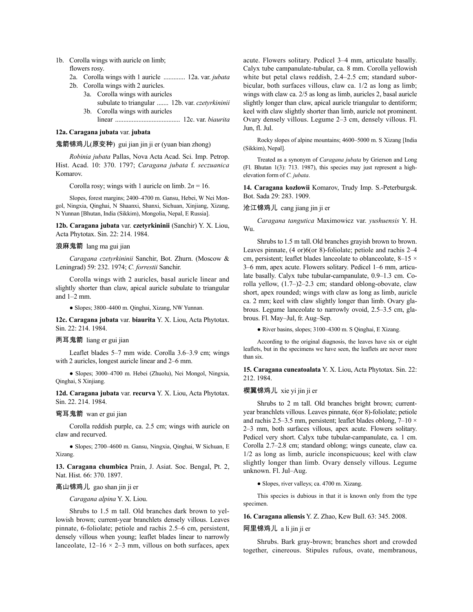- 1b. Corolla wings with auricle on limb; flowers rosy.
	- 2a. Corolla wings with 1 auricle ............. 12a. var. *jubata*
	- 2b. Corolla wings with 2 auricles. 3a. Corolla wings with auricles
		- subulate to triangular ....... 12b. var. *czetyrkininii* 3b. Corolla wings with auricles
		- linear ....................................... 12c. var. *biaurita*

# **12a. Caragana jubata** var. **jubata**

# 鬼箭锦鸡儿(原变种) gui jian jin ji er (yuan bian zhong)

*Robinia jubata* Pallas, Nova Acta Acad. Sci. Imp. Petrop. Hist. Acad. 10: 370. 1797; *Caragana jubata* f. *seczuanica* Komarov.

Corolla rosy; wings with 1 auricle on limb.  $2n = 16$ .

Slopes, forest margins; 2400–4700 m. Gansu, Hebei, W Nei Mongol, Ningxia, Qinghai, N Shaanxi, Shanxi, Sichuan, Xinjiang, Xizang, N Yunnan [Bhutan, India (Sikkim), Mongolia, Nepal, E Russia].

**12b. Caragana jubata** var. **czetyrkininii** (Sanchir) Y. X. Liou, Acta Phytotax. Sin. 22: 214. 1984.

### 浪麻鬼箭 lang ma gui jian

*Caragana czetyrkininii* Sanchir, Bot. Zhurn. (Moscow & Leningrad) 59: 232. 1974; *C. forrestii* Sanchir.

Corolla wings with 2 auricles, basal auricle linear and slightly shorter than claw, apical auricle subulate to triangular and  $1-2$  mm.

● Slopes; 3800–4400 m. Qinghai, Xizang, NW Yunnan.

**12c. Caragana jubata** var. **biaurita** Y. X. Liou, Acta Phytotax. Sin. 22: 214. 1984.

# 两耳鬼箭 liang er gui jian

Leaflet blades 5–7 mm wide. Corolla 3.6–3.9 cm; wings with 2 auricles, longest auricle linear and 2–6 mm.

● Slopes; 3000–4700 m. Hebei (Zhuolu), Nei Mongol, Ningxia, Qinghai, S Xinjiang.

**12d. Caragana jubata** var. **recurva** Y. X. Liou, Acta Phytotax. Sin. 22. 214. 1984.

### 弯耳鬼箭 wan er gui jian

Corolla reddish purple, ca. 2.5 cm; wings with auricle on claw and recurved.

● Slopes; 2700–4600 m. Gansu, Ningxia, Qinghai, W Sichuan, E Xizang.

**13. Caragana chumbica** Prain, J. Asiat. Soc. Bengal, Pt. 2, Nat. Hist. 66: 370. 1897.

#### 高山锦鸡儿 gao shan jin ji er

*Caragana alpina* Y. X. Liou.

Shrubs to 1.5 m tall. Old branches dark brown to yellowish brown; current-year branchlets densely villous. Leaves pinnate, 6-foliolate; petiole and rachis 2.5–6 cm, persistent, densely villous when young; leaflet blades linear to narrowly lanceolate,  $12-16 \times 2-3$  mm, villous on both surfaces, apex acute. Flowers solitary. Pedicel 3–4 mm, articulate basally. Calyx tube campanulate-tubular, ca. 8 mm. Corolla yellowish white but petal claws reddish, 2.4–2.5 cm; standard suborbicular, both surfaces villous, claw ca. 1/2 as long as limb; wings with claw ca. 2/5 as long as limb, auricles 2, basal auricle slightly longer than claw, apical auricle triangular to dentiform; keel with claw slightly shorter than limb, auricle not prominent. Ovary densely villous. Legume 2–3 cm, densely villous. Fl. Jun, fl. Jul.

Rocky slopes of alpine mountains; 4600–5000 m. S Xizang [India (Sikkim), Nepal].

Treated as a synonym of *Caragana jubata* by Grierson and Long (Fl. Bhutan 1(3): 713. 1987), this species may just represent a highelevation form of *C. jubata*.

**14. Caragana kozlowii** Komarov, Trudy Imp. S.-Peterburgsk. Bot. Sada 29: 283. 1909.

### 沧江锦鸡儿 cang jiang jin ji er

*Caragana tangutica* Maximowicz var. *yushuensis* Y. H. Wu.

Shrubs to 1.5 m tall. Old branches grayish brown to brown. Leaves pinnate, (4 or)6(or 8)-foliolate; petiole and rachis 2–4 cm, persistent; leaflet blades lanceolate to oblanceolate, 8–15  $\times$ 3–6 mm, apex acute. Flowers solitary. Pedicel 1–6 mm, articulate basally. Calyx tube tubular-campanulate, 0.9–1.3 cm. Corolla yellow, (1.7–)2–2.3 cm; standard oblong-obovate, claw short, apex rounded; wings with claw as long as limb, auricle ca. 2 mm; keel with claw slightly longer than limb. Ovary glabrous. Legume lanceolate to narrowly ovoid, 2.5–3.5 cm, glabrous. Fl. May–Jul, fr. Aug–Sep.

● River basins, slopes; 3100–4300 m. S Qinghai, E Xizang.

According to the original diagnosis, the leaves have six or eight leaflets, but in the specimens we have seen, the leaflets are never more than six.

**15. Caragana cuneatoalata** Y. X. Liou, Acta Phytotax. Sin. 22: 212. 1984.

### 楔翼锦鸡儿 xie yi jin ji er

Shrubs to 2 m tall. Old branches bright brown; currentyear branchlets villous. Leaves pinnate, 6(or 8)-foliolate; petiole and rachis 2.5–3.5 mm, persistent; leaflet blades oblong,  $7-10 \times$ 2–3 mm, both surfaces villous, apex acute. Flowers solitary. Pedicel very short. Calyx tube tubular-campanulate, ca. 1 cm. Corolla 2.7–2.8 cm; standard oblong; wings cuneate, claw ca. 1/2 as long as limb, auricle inconspicuous; keel with claw slightly longer than limb. Ovary densely villous. Legume unknown. Fl. Jul–Aug.

● Slopes, river valleys; ca. 4700 m. Xizang.

This species is dubious in that it is known only from the type specimen.

**16. Caragana aliensis** Y. Z. Zhao, Kew Bull. 63: 345. 2008.

### 阿里锦鸡儿 a li jin ji er

Shrubs. Bark gray-brown; branches short and crowded together, cinereous. Stipules rufous, ovate, membranous,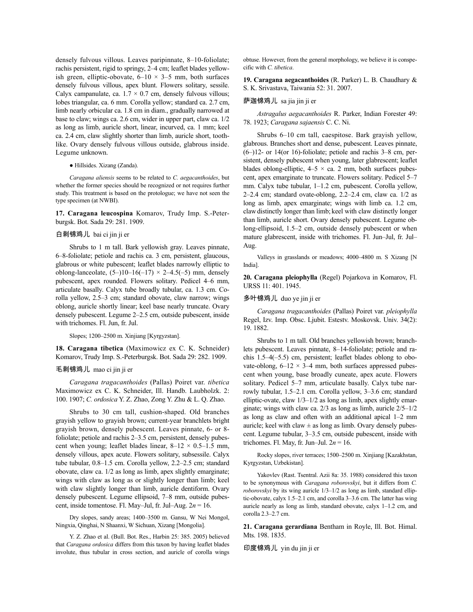densely fulvous villous. Leaves paripinnate, 8–10-foliolate; rachis persistent, rigid to springy, 2–4 cm; leaflet blades yellowish green, elliptic-obovate,  $6-10 \times 3-5$  mm, both surfaces densely fulvous villous, apex blunt. Flowers solitary, sessile. Calyx campanulate, ca.  $1.7 \times 0.7$  cm, densely fulvous villous; lobes triangular, ca. 6 mm. Corolla yellow; standard ca. 2.7 cm, limb nearly orbicular ca. 1.8 cm in diam., gradually narrowed at base to claw; wings ca. 2.6 cm, wider in upper part, claw ca. 1/2 as long as limb, auricle short, linear, incurved, ca. 1 mm; keel ca. 2.4 cm, claw slightly shorter than limb, auricle short, toothlike. Ovary densely fulvous villous outside, glabrous inside. Legume unknown.

#### ● Hillsides. Xizang (Zanda).

*Caragana aliensis* seems to be related to *C. aegacanthoides*, but whether the former species should be recognized or not requires further study. This treatment is based on the protologue; we have not seen the type specimen (at NWBI).

**17. Caragana leucospina** Komarov, Trudy Imp. S.-Peterburgsk. Bot. Sada 29: 281. 1909.

### 白刺锦鸡儿 bai ci jin ji er

Shrubs to 1 m tall. Bark yellowish gray. Leaves pinnate, 6–8-foliolate; petiole and rachis ca. 3 cm, persistent, glaucous, glabrous or white pubescent; leaflet blades narrowly elliptic to oblong-lanceolate,  $(5-)10-16(-17) \times 2-4.5(-5)$  mm, densely pubescent, apex rounded. Flowers solitary. Pedicel 4–6 mm, articulate basally. Calyx tube broadly tubular, ca. 1.3 cm. Corolla yellow, 2.5–3 cm; standard obovate, claw narrow; wings oblong, auricle shortly linear; keel base nearly truncate. Ovary densely pubescent. Legume 2–2.5 cm, outside pubescent, inside with trichomes. Fl. Jun, fr. Jul.

Slopes; 1200–2500 m. Xinjiang [Kyrgyzstan].

**18. Caragana tibetica** (Maximowicz ex C. K. Schneider) Komarov, Trudy Imp. S.-Peterburgsk. Bot. Sada 29: 282. 1909.

# 毛刺锦鸡儿 mao ci jin ji er

*Caragana tragacanthoides* (Pallas) Poiret var. *tibetica* Maximowicz ex C. K. Schneider, Ill. Handb. Laubholzk. 2: 100. 1907; *C. ordosica* Y. Z. Zhao, Zong Y. Zhu & L. Q. Zhao.

Shrubs to 30 cm tall, cushion-shaped. Old branches grayish yellow to grayish brown; current-year branchlets bright grayish brown, densely pubescent. Leaves pinnate, 6- or 8 foliolate; petiole and rachis 2–3.5 cm, persistent, densely pubescent when young; leaflet blades linear,  $8-12 \times 0.5-1.5$  mm, densely villous, apex acute. Flowers solitary, subsessile. Calyx tube tubular, 0.8–1.5 cm. Corolla yellow, 2.2–2.5 cm; standard obovate, claw ca. 1/2 as long as limb, apex slightly emarginate; wings with claw as long as or slightly longer than limb; keel with claw slightly longer than limb, auricle dentiform. Ovary densely pubescent. Legume ellipsoid, 7–8 mm, outside pubescent, inside tomentose. Fl. May–Jul, fr. Jul–Aug. 2*n* = 16.

Dry slopes, sandy areas; 1400–3500 m. Gansu, W Nei Mongol, Ningxia, Qinghai, N Shaanxi, W Sichuan, Xizang [Mongolia].

Y. Z. Zhao et al. (Bull. Bot. Res., Harbin 25: 385. 2005) believed that *Caragana ordosica* differs from this taxon by having leaflet blades involute, thus tubular in cross section, and auricle of corolla wings obtuse. However, from the general morphology, we believe it is conspecific with *C. tibetica*.

**19. Caragana aegacanthoides** (R. Parker) L. B. Chaudhary & S. K. Srivastava, Taiwania 52: 31. 2007.

# 萨迦锦鸡儿 sa jia jin ji er

*Astragalus aegacanthoides* R. Parker, Indian Forester 49: 78. 1923; *Caragana sajaensis* C. C. Ni.

Shrubs 6–10 cm tall, caespitose. Bark grayish yellow, glabrous. Branches short and dense, pubescent. Leaves pinnate, (6–)12- or 14(or 16)-foliolate; petiole and rachis 3–8 cm, persistent, densely pubescent when young, later glabrescent; leaflet blades oblong-elliptic,  $4-5 \times$  ca. 2 mm, both surfaces pubescent, apex emarginate to truncate. Flowers solitary. Pedicel 5–7 mm. Calyx tube tubular, 1–1.2 cm, pubescent. Corolla yellow, 2–2.4 cm; standard ovate-oblong, 2.2–2.4 cm, claw ca. 1/2 as long as limb, apex emarginate; wings with limb ca. 1.2 cm, clawdistinctly longer than limb; keel with claw distinctly longer than limb, auricle short. Ovary densely pubescent. Legume oblong-ellipsoid, 1.5–2 cm, outside densely pubescent or when mature glabrescent, inside with trichomes. Fl. Jun–Jul, fr. Jul– Aug.

Valleys in grasslands or meadows; 4000–4800 m. S Xizang [N India].

**20. Caragana pleiophylla** (Regel) Pojarkova in Komarov, Fl. URSS 11: 401. 1945.

### 多叶锦鸡儿 duo ye jin ji er

*Caragana tragacanthoides* (Pallas) Poiret var. *pleiophylla* Regel, Izv. Imp. Obsc. Ljubit. Estestv. Moskovsk. Univ. 34(2): 19. 1882.

Shrubs to 1 m tall. Old branches yellowish brown; branchlets pubescent. Leaves pinnate, 8–14-foliolate; petiole and rachis 1.5–4(–5.5) cm, persistent; leaflet blades oblong to obovate-oblong,  $6-12 \times 3-4$  mm, both surfaces appressed pubescent when young, base broadly cuneate, apex acute. Flowers solitary. Pedicel 5–7 mm, articulate basally. Calyx tube narrowly tubular, 1.5–2.1 cm. Corolla yellow, 3–3.6 cm; standard elliptic-ovate, claw 1/3–1/2 as long as limb, apex slightly emarginate; wings with claw ca. 2/3 as long as limb, auricle 2/5–1/2 as long as claw and often with an additional apical 1–2 mm auricle; keel with claw  $\pm$  as long as limb. Ovary densely pubescent. Legume tubular, 3–3.5 cm, outside pubescent, inside with trichomes. Fl. May, fr. Jun–Jul. 2*n* = 16.

Rocky slopes, river terraces; 1500–2500 m. Xinjiang [Kazakhstan, Kyrgyzstan, Uzbekistan].

Yakovlev (Rast. Tsentral. Azii 8a: 35. 1988) considered this taxon to be synonymous with *Caragana roborovskyi*, but it differs from *C. roborovskyi* by its wing auricle 1/3–1/2 as long as limb, standard elliptic-obovate, calyx 1.5–2.1 cm, and corolla 3–3.6 cm. The latter has wing auricle nearly as long as limb, standard obovate, calyx 1–1.2 cm, and corolla 2.3–2.7 cm.

**21. Caragana gerardiana** Bentham in Royle, Ill. Bot. Himal. Mts. 198. 1835.

印度锦鸡儿 yin du jin ji er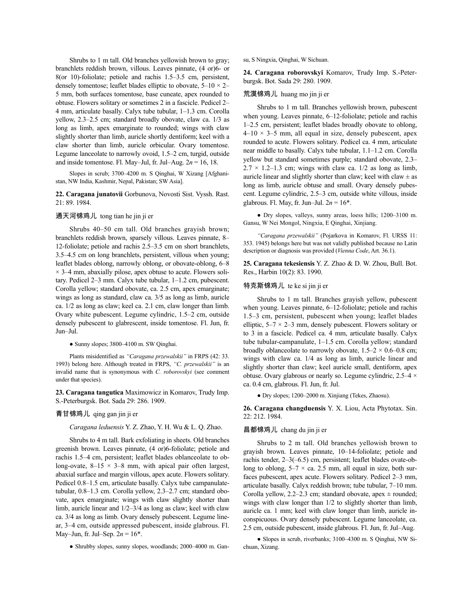Shrubs to 1 m tall. Old branches yellowish brown to gray; branchlets reddish brown, villous. Leaves pinnate, (4 or)6- or 8(or 10)-foliolate; petiole and rachis 1.5–3.5 cm, persistent, densely tomentose; leaflet blades elliptic to obovate,  $5-10 \times 2-$ 5 mm, both surfaces tomentose, base cuneate, apex rounded to obtuse. Flowers solitary or sometimes 2 in a fascicle. Pedicel 2– 4 mm, articulate basally. Calyx tube tubular, 1–1.3 cm. Corolla yellow, 2.3–2.5 cm; standard broadly obovate, claw ca. 1/3 as long as limb, apex emarginate to rounded; wings with claw slightly shorter than limb, auricle shortly dentiform; keel with a claw shorter than limb, auricle orbicular. Ovary tomentose. Legume lanceolate to narrowly ovoid, 1.5–2 cm, turgid, outside and inside tomentose. Fl. May–Jul, fr. Jul–Aug. 2*n* = 16, 18.

Slopes in scrub; 3700–4200 m. S Qinghai, W Xizang [Afghanistan, NW India, Kashmir, Nepal, Pakistan; SW Asia].

**22. Caragana junatovii** Gorbunova, Novosti Sist. Vyssh. Rast. 21: 89. 1984.

# 通天河锦鸡儿 tong tian he jin ji er

Shrubs 40–50 cm tall. Old branches grayish brown; branchlets reddish brown, sparsely villous. Leaves pinnate, 8– 12-foliolate; petiole and rachis 2.5–3.5 cm on short branchlets, 3.5–4.5 cm on long branchlets, persistent, villous when young; leaflet blades oblong, narrowly oblong, or obovate-oblong, 6–8  $\times$  3–4 mm, abaxially pilose, apex obtuse to acute. Flowers solitary. Pedicel 2–3 mm. Calyx tube tubular, 1–1.2 cm, pubescent. Corolla yellow; standard obovate, ca. 2.5 cm, apex emarginate; wings as long as standard, claw ca. 3/5 as long as limb, auricle ca. 1/2 as long as claw; keel ca. 2.1 cm, claw longer than limb. Ovary white pubescent. Legume cylindric, 1.5–2 cm, outside densely pubescent to glabrescent, inside tomentose. Fl. Jun, fr. Jun–Jul.

● Sunny slopes; 3800–4100 m. SW Qinghai.

Plants misidentified as *"Caragana przewalskii"* in FRPS (42: 33. 1993) belong here. Although treated in FRPS, *"C. przewalskii"* is an invalid name that is synonymous with *C. roborovskyi* (see comment under that species).

**23. Caragana tangutica** Maximowicz in Komarov, Trudy Imp. S.-Peterburgsk. Bot. Sada 29: 286. 1909.

#### 青甘锦鸡儿 qing gan jin ji er

*Caragana leduensis* Y. Z. Zhao, Y. H. Wu & L. Q. Zhao.

Shrubs to 4 m tall. Bark exfoliating in sheets. Old branches greenish brown. Leaves pinnate, (4 or)6-foliolate; petiole and rachis 1.5–4 cm, persistent; leaflet blades oblanceolate to oblong-ovate,  $8-15 \times 3-8$  mm, with apical pair often largest, abaxial surface and margin villous, apex acute. Flowers solitary. Pedicel 0.8–1.5 cm, articulate basally. Calyx tube campanulatetubular, 0.8–1.3 cm. Corolla yellow, 2.3–2.7 cm; standard obovate, apex emarginate; wings with claw slightly shorter than limb, auricle linear and 1/2–3/4 as long as claw; keel with claw ca. 3/4 as long as limb. Ovary densely pubescent. Legume linear, 3–4 cm, outside appressed pubescent, inside glabrous. Fl. May–Jun, fr. Jul–Sep. 2*n* = 16\*.

● Shrubby slopes, sunny slopes, woodlands; 2000–4000 m. Gan-

su, S Ningxia, Qinghai, W Sichuan.

**24. Caragana roborovskyi** Komarov, Trudy Imp. S.-Peterburgsk. Bot. Sada 29: 280. 1909.

### 荒漠锦鸡儿 huang mo jin ji er

Shrubs to 1 m tall. Branches yellowish brown, pubescent when young. Leaves pinnate, 6–12-foliolate; petiole and rachis 1–2.5 cm, persistent; leaflet blades broadly obovate to oblong,  $4-10 \times 3-5$  mm, all equal in size, densely pubescent, apex rounded to acute. Flowers solitary. Pedicel ca. 4 mm, articulate near middle to basally. Calyx tube tubular, 1.1–1.2 cm. Corolla yellow but standard sometimes purple; standard obovate, 2.3–  $2.7 \times 1.2$ –1.3 cm; wings with claw ca. 1/2 as long as limb, auricle linear and slightly shorter than claw; keel with claw  $\pm$  as long as limb, auricle obtuse and small. Ovary densely pubescent. Legume cylindric, 2.5–3 cm, outside white villous, inside glabrous. Fl. May, fr. Jun–Jul.  $2n = 16^*$ .

● Dry slopes, valleys, sunny areas, loess hills; 1200–3100 m. Gansu, W Nei Mongol, Ningxia, E Qinghai, Xinjiang.

*"Caragana przewalskii"* (Pojarkova in Komarov, Fl. URSS 11: 353. 1945) belongs here but was not validly published because no Latin description or diagnosis was provided (*Vienna Code*, Art. 36.1).

**25. Caragana tekesiensis** Y. Z. Zhao & D. W. Zhou, Bull. Bot. Res., Harbin 10(2): 83. 1990.

### 特克斯锦鸡儿 te ke si jin ji er

Shrubs to 1 m tall. Branches grayish yellow, pubescent when young. Leaves pinnate, 6–12-foliolate; petiole and rachis 1.5–3 cm, persistent, pubescent when young; leaflet blades elliptic,  $5-7 \times 2-3$  mm, densely pubescent. Flowers solitary or to 3 in a fascicle. Pedicel ca. 4 mm, articulate basally. Calyx tube tubular-campanulate, 1–1.5 cm. Corolla yellow; standard broadly oblanceolate to narrowly obovate,  $1.5-2 \times 0.6-0.8$  cm; wings with claw ca. 1/4 as long as limb, auricle linear and slightly shorter than claw; keel auricle small, dentiform, apex obtuse. Ovary glabrous or nearly so. Legume cylindric, 2.5–4 × ca. 0.4 cm, glabrous. Fl. Jun, fr. Jul.

● Dry slopes; 1200–2000 m. Xinjiang (Tekes, Zhaosu).

**26. Caragana changduensis** Y. X. Liou, Acta Phytotax. Sin. 22: 212. 1984.

#### 昌都锦鸡儿 chang du jin ji er

Shrubs to 2 m tall. Old branches yellowish brown to grayish brown. Leaves pinnate, 10–14-foliolate; petiole and rachis tender, 2–3(–6.5) cm, persistent; leaflet blades ovate-oblong to oblong,  $5-7 \times$  ca. 2.5 mm, all equal in size, both surfaces pubescent, apex acute. Flowers solitary. Pedicel 2–3 mm, articulate basally. Calyx reddish brown; tube tubular, 7–10 mm. Corolla yellow, 2.2–2.3 cm; standard obovate, apex  $\pm$  rounded; wings with claw longer than 1/2 to slightly shorter than limb, auricle ca. 1 mm; keel with claw longer than limb, auricle inconspicuous. Ovary densely pubescent. Legume lanceolate, ca. 2.5 cm, outside pubescent, inside glabrous. Fl. Jun, fr. Jul–Aug.

● Slopes in scrub, riverbanks; 3100–4300 m. S Qinghai, NW Sichuan, Xizang.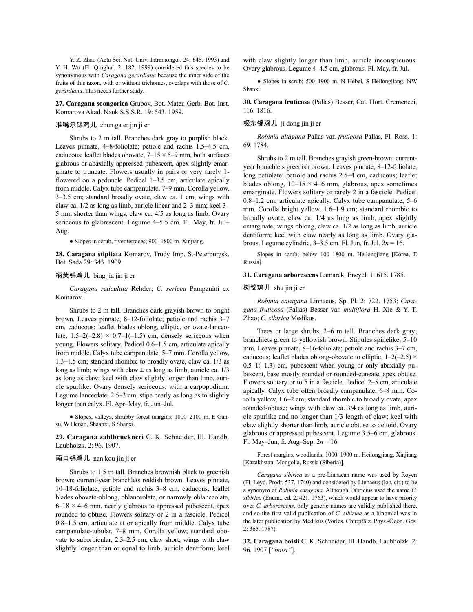Y. Z. Zhao (Acta Sci. Nat. Univ. Intramongol. 24: 648. 1993) and Y. H. Wu (Fl. Qinghai. 2: 182. 1999) considered this species to be synonymous with *Caragana gerardiana* because the inner side of the fruits of this taxon, with or without trichomes, overlaps with those of *C. gerardiana*. This needs further study.

**27. Caragana soongorica** Grubov, Bot. Mater. Gerb. Bot. Inst. Komarova Akad. Nauk S.S.S.R. 19: 543. 1959.

# 准噶尔锦鸡儿 zhun ga er jin ji er

Shrubs to 2 m tall. Branches dark gray to purplish black. Leaves pinnate, 4–8-foliolate; petiole and rachis 1.5–4.5 cm, caducous; leaflet blades obovate,  $7-15 \times 5-9$  mm, both surfaces glabrous or abaxially appressed pubescent, apex slightly emarginate to truncate. Flowers usually in pairs or very rarely 1 flowered on a peduncle. Pedicel 1–3.5 cm, articulate apically from middle. Calyx tube campanulate, 7–9 mm. Corolla yellow, 3–3.5 cm; standard broadly ovate, claw ca. 1 cm; wings with claw ca. 1/2 as long as limb, auricle linear and 2–3 mm; keel 3– 5 mm shorter than wings, claw ca. 4/5 as long as limb. Ovary sericeous to glabrescent. Legume 4–5.5 cm. Fl. May, fr. Jul– Aug.

● Slopes in scrub, river terraces; 900–1800 m. Xinjiang.

**28. Caragana stipitata** Komarov, Trudy Imp. S.-Peterburgsk. Bot. Sada 29: 343. 1909.

### 柄荚锦鸡儿 bing jia jin ji er

*Caragana reticulata* Rehder; *C. sericea* Pampanini ex Komarov.

Shrubs to 2 m tall. Branches dark grayish brown to bright brown. Leaves pinnate, 8–12-foliolate; petiole and rachis 3–7 cm, caducous; leaflet blades oblong, elliptic, or ovate-lanceolate,  $1.5-2(-2.8) \times 0.7-1(-1.5)$  cm, densely sericeous when young. Flowers solitary. Pedicel 0.6–1.5 cm, articulate apically from middle. Calyx tube campanulate, 5–7 mm. Corolla yellow, 1.3–1.5 cm; standard rhombic to broadly ovate, claw ca. 1/3 as long as limb; wings with claw  $\pm$  as long as limb, auricle ca. 1/3 as long as claw; keel with claw slightly longer than limb, auricle spurlike. Ovary densely sericeous, with a carpopodium. Legume lanceolate, 2.5–3 cm, stipe nearly as long as to slightly longer than calyx. Fl. Apr–May, fr. Jun–Jul.

● Slopes, valleys, shrubby forest margins; 1000–2100 m. E Gansu, W Henan, Shaanxi, S Shanxi.

**29. Caragana zahlbruckneri** C. K. Schneider, Ill. Handb. Laubholzk. 2: 96. 1907.

### 南口锦鸡儿 nan kou jin ji er

Shrubs to 1.5 m tall. Branches brownish black to greenish brown; current-year branchlets reddish brown. Leaves pinnate, 10–18-foliolate; petiole and rachis 3–8 cm, caducous; leaflet blades obovate-oblong, oblanceolate, or narrowly oblanceolate,  $6-18 \times 4-6$  mm, nearly glabrous to appressed pubescent, apex rounded to obtuse. Flowers solitary or 2 in a fascicle. Pedicel 0.8–1.5 cm, articulate at or apically from middle. Calyx tube campanulate-tubular, 7–8 mm. Corolla yellow; standard obovate to suborbicular, 2.3–2.5 cm, claw short; wings with claw slightly longer than or equal to limb, auricle dentiform; keel with claw slightly longer than limb, auricle inconspicuous. Ovary glabrous. Legume 4–4.5 cm, glabrous. Fl. May, fr. Jul.

● Slopes in scrub; 500–1900 m. N Hebei, S Heilongjiang, NW Shanxi.

**30. Caragana fruticosa** (Pallas) Besser, Cat. Hort. Cremeneci, 116. 1816.

### 极东锦鸡儿 ji dong jin ji er

*Robinia altagana* Pallas var. *fruticosa* Pallas, Fl. Ross. 1: 69. 1784.

Shrubs to 2 m tall. Branches grayish green-brown; currentyear branchlets greenish brown. Leaves pinnate, 8–12-foliolate, long petiolate; petiole and rachis 2.5–4 cm, caducous; leaflet blades oblong,  $10-15 \times 4-6$  mm, glabrous, apex sometimes emarginate. Flowers solitary or rarely 2 in a fascicle. Pedicel 0.8–1.2 cm, articulate apically. Calyx tube campanulate, 5–6 mm. Corolla bright yellow, 1.6–1.9 cm; standard rhombic to broadly ovate, claw ca. 1/4 as long as limb, apex slightly emarginate; wings oblong, claw ca. 1/2 as long as limb, auricle dentiform; keel with claw nearly as long as limb. Ovary glabrous. Legume cylindric, 3–3.5 cm. Fl. Jun, fr. Jul. 2*n* = 16.

Slopes in scrub; below 100–1800 m. Heilongjiang [Korea, E Russia].

**31. Caragana arborescens** Lamarck, Encycl. 1: 615. 1785.

# 树锦鸡儿 shu jin ji er

*Robinia caragana* Linnaeus, Sp. Pl. 2: 722. 1753; *Caragana fruticosa* (Pallas) Besser var. *multiflora* H. Xie & Y. T. Zhao; *C. sibirica* Medikus.

Trees or large shrubs, 2–6 m tall. Branches dark gray; branchlets green to yellowish brown. Stipules spinelike, 5–10 mm. Leaves pinnate, 8–16-foliolate; petiole and rachis 3–7 cm, caducous; leaflet blades oblong-obovate to elliptic,  $1-2(-2.5) \times$  $0.5-1(-1.3)$  cm, pubescent when young or only abaxially pubescent, base mostly rounded or rounded-cuneate, apex obtuse. Flowers solitary or to 5 in a fascicle. Pedicel 2–5 cm, articulate apically. Calyx tube often broadly campanulate, 6–8 mm. Corolla yellow, 1.6–2 cm; standard rhombic to broadly ovate, apex rounded-obtuse; wings with claw ca. 3/4 as long as limb, auricle spurlike and no longer than 1/3 length of claw; keel with claw slightly shorter than limb, auricle obtuse to deltoid. Ovary glabrous or appressed pubescent. Legume 3.5–6 cm, glabrous. Fl. May–Jun, fr. Aug–Sep. 2*n* = 16.

Forest margins, woodlands; 1000–1900 m. Heilongjiang, Xinjiang [Kazakhstan, Mongolia, Russia (Siberia)].

*Caragana sibirica* as a pre-Linnaean name was used by Royen (Fl. Leyd. Prodr. 537. 1740) and considered by Linnaeus (loc. cit.) to be a synonym of *Robinia caragana*. Although Fabricius used the name *C. sibirica* (Enum., ed. 2, 421. 1763), which would appear to have priority over *C. arborescens*, only generic names are validly published there, and so the first valid publication of *C. sibirica* as a binomial was in the later publication by Medikus (Vorles. Churpfälz. Phys.-Öcon. Ges. 2: 365. 1787).

**32. Caragana boisii** C. K. Schneider, Ill. Handb. Laubholzk. 2: 96. 1907 [*"boisi"*].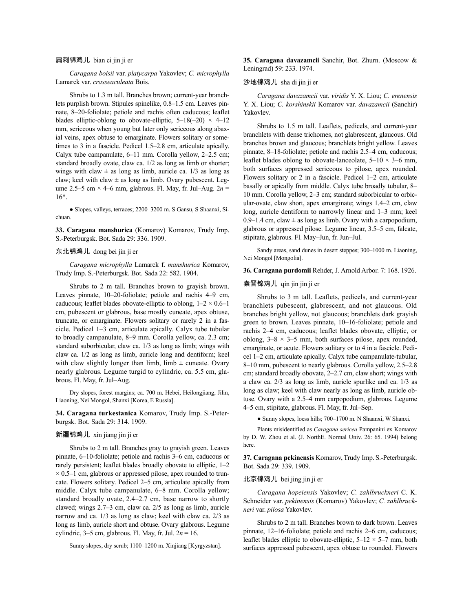### 扁刺锦鸡儿 bian ci jin ji er

*Caragana boisii* var. *platycarpa* Yakovlev; *C. microphylla* Lamarck var. *crasseaculeata* Bois.

Shrubs to 1.3 m tall. Branches brown; current-year branchlets purplish brown. Stipules spinelike, 0.8–1.5 cm. Leaves pinnate, 8–20-foliolate; petiole and rachis often caducous; leaflet blades elliptic-oblong to obovate-elliptic,  $5-18(-20) \times 4-12$ mm, sericeous when young but later only sericeous along abaxial veins, apex obtuse to emarginate. Flowers solitary or sometimes to 3 in a fascicle. Pedicel 1.5–2.8 cm, articulate apically. Calyx tube campanulate, 6–11 mm. Corolla yellow, 2–2.5 cm; standard broadly ovate, claw ca. 1/2 as long as limb or shorter; wings with claw  $\pm$  as long as limb, auricle ca. 1/3 as long as claw; keel with claw  $\pm$  as long as limb. Ovary pubescent. Legume 2.5–5 cm × 4–6 mm, glabrous. Fl. May, fr. Jul–Aug. 2*n* = 16\*.

● Slopes, valleys, terraces; 2200–3200 m. S Gansu, S Shaanxi, Sichuan.

**33. Caragana manshurica** (Komarov) Komarov, Trudy Imp. S.-Peterburgsk. Bot. Sada 29: 336. 1909.

### 东北锦鸡儿 dong bei jin ji er

*Caragana microphylla* Lamarck f. *manshurica* Komarov, Trudy Imp. S.-Peterburgsk. Bot. Sada 22: 582. 1904.

Shrubs to 2 m tall. Branches brown to grayish brown. Leaves pinnate, 10–20-foliolate; petiole and rachis 4–9 cm, caducous; leaflet blades obovate-elliptic to oblong,  $1-2 \times 0.6-1$ cm, pubescent or glabrous, base mostly cuneate, apex obtuse, truncate, or emarginate. Flowers solitary or rarely 2 in a fascicle. Pedicel 1–3 cm, articulate apically. Calyx tube tubular to broadly campanulate, 8–9 mm. Corolla yellow, ca. 2.3 cm; standard suborbicular, claw ca. 1/3 as long as limb; wings with claw ca. 1/2 as long as limb, auricle long and dentiform; keel with claw slightly longer than limb, limb  $\pm$  cuneate. Ovary nearly glabrous. Legume turgid to cylindric, ca. 5.5 cm, glabrous. Fl. May, fr. Jul–Aug.

Dry slopes, forest margins; ca. 700 m. Hebei, Heilongjiang, Jilin, Liaoning, Nei Mongol, Shanxi [Korea, E Russia].

**34. Caragana turkestanica** Komarov, Trudy Imp. S.-Peterburgsk. Bot. Sada 29: 314. 1909.

### 新疆锦鸡儿 xin jiang jin ji er

Shrubs to 2 m tall. Branches gray to grayish green. Leaves pinnate, 6–10-foliolate; petiole and rachis 3–6 cm, caducous or rarely persistent; leaflet blades broadly obovate to elliptic, 1–2  $\times$  0.5–1 cm, glabrous or appressed pilose, apex rounded to truncate. Flowers solitary. Pedicel 2–5 cm, articulate apically from middle. Calyx tube campanulate, 6–8 mm. Corolla yellow; standard broadly ovate, 2.4–2.7 cm, base narrow to shortly clawed; wings 2.7–3 cm, claw ca. 2/5 as long as limb, auricle narrow and ca. 1/3 as long as claw; keel with claw ca. 2/3 as long as limb, auricle short and obtuse. Ovary glabrous. Legume cylindric, 3–5 cm, glabrous. Fl. May, fr. Jul. 2*n* = 16.

Sunny slopes, dry scrub; 1100–1200 m. Xinjiang [Kyrgyzstan].

**35. Caragana davazamcii** Sanchir, Bot. Zhurn. (Moscow & Leningrad) 59: 233. 1974.

### 沙地锦鸡儿 sha di jin ji er

*Caragana davazamcii* var. *viridis* Y. X. Liou; *C. erenensis* Y. X. Liou; *C. korshinskii* Komarov var. *davazamcii* (Sanchir) Yakovlev.

Shrubs to 1.5 m tall. Leaflets, pedicels, and current-year branchlets with dense trichomes, not glabrescent, glaucous. Old branches brown and glaucous; branchlets bright yellow. Leaves pinnate, 8–18-foliolate; petiole and rachis 2.5–4 cm, caducous; leaflet blades oblong to obovate-lanceolate,  $5-10 \times 3-6$  mm, both surfaces appressed sericeous to pilose, apex rounded. Flowers solitary or 2 in a fascicle. Pedicel 1–2 cm, articulate basally or apically from middle. Calyx tube broadly tubular, 8– 10 mm. Corolla yellow, 2–3 cm; standard suborbicular to orbicular-ovate, claw short, apex emarginate; wings 1.4–2 cm, claw long, auricle dentiform to narrowly linear and 1–3 mm; keel 0.9–1.4 cm, claw  $\pm$  as long as limb. Ovary with a carpopodium, glabrous or appressed pilose. Legume linear, 3.5–5 cm, falcate, stipitate, glabrous. Fl. May–Jun, fr. Jun–Jul.

Sandy areas, sand dunes in desert steppes; 300–1000 m. Liaoning, Nei Mongol [Mongolia].

**36. Caragana purdomii** Rehder, J. Arnold Arbor. 7: 168. 1926.

# 秦晋锦鸡儿 qin jin jin ji er

Shrubs to 3 m tall. Leaflets, pedicels, and current-year branchlets pubescent, glabrescent, and not glaucous. Old branches bright yellow, not glaucous; branchlets dark grayish green to brown. Leaves pinnate, 10–16-foliolate; petiole and rachis 2–4 cm, caducous; leaflet blades obovate, elliptic, or oblong,  $3-8 \times 3-5$  mm, both surfaces pilose, apex rounded, emarginate, or acute. Flowers solitary or to 4 in a fascicle. Pedicel 1–2 cm, articulate apically. Calyx tube campanulate-tubular, 8–10 mm, pubescent to nearly glabrous. Corolla yellow, 2.5–2.8 cm; standard broadly obovate, 2–2.7 cm, claw short; wings with a claw ca. 2/3 as long as limb, auricle spurlike and ca. 1/3 as long as claw; keel with claw nearly as long as limb, auricle obtuse. Ovary with a 2.5–4 mm carpopodium, glabrous. Legume 4–5 cm, stipitate, glabrous. Fl. May, fr. Jul–Sep.

● Sunny slopes, loess hills; 700–1700 m. N Shaanxi, W Shanxi.

Plants misidentified as *Caragana sericea* Pampanini ex Komarov by D. W. Zhou et al. (J. NorthE. Normal Univ. 26: 65. 1994) belong here.

**37. Caragana pekinensis** Komarov,Trudy Imp. S.-Peterburgsk. Bot. Sada 29: 339. 1909.

# 北京锦鸡儿 bei jing jin ji er

*Caragana hopeiensis* Yakovlev; *C. zahlbruckneri* C. K. Schneider var. *pekinensis* (Komarov) Yakovlev; *C. zahlbruckneri* var. *pilosa* Yakovlev.

Shrubs to 2 m tall. Branches brown to dark brown. Leaves pinnate, 12–16-foliolate; petiole and rachis 2–6 cm, caducous; leaflet blades elliptic to obovate-elliptic,  $5-12 \times 5-7$  mm, both surfaces appressed pubescent, apex obtuse to rounded. Flowers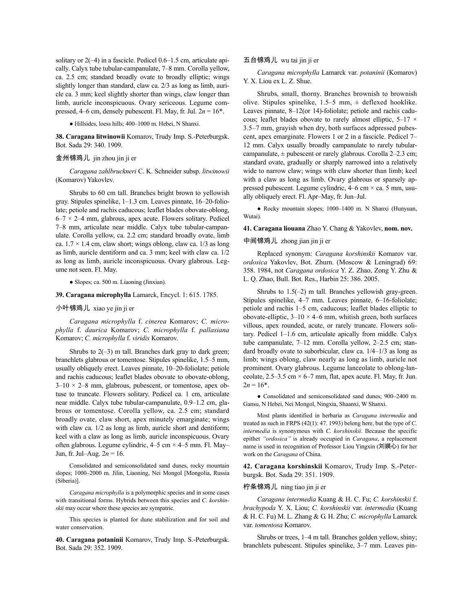solitary or 2(–4) in a fascicle. Pedicel 0.6–1.5 cm, articulate apically. Calyx tube tubular-campanulate, 7–8 mm. Corolla yellow, ca. 2.5 cm; standard broadly ovate to broadly elliptic; wings slightly longer than standard, claw ca. 2/3 as long as limb, auricle ca. 3 mm; keel slightly shorter than wings, claw longer than limb, auricle inconspicuous. Ovary sericeous. Legume compressed, 4–6 cm, densely pubescent. Fl. May, fr. Jul.  $2n = 16^*$ .

● Hillsides, loess hills; 400–1000 m. Hebei, N Shanxi.

**38. Caragana litwinowii** Komarov, Trudy Imp. S.-Peterburgsk. Bot. Sada 29: 340. 1909.

# 金州锦鸡儿 jin zhou jin ji er

*Caragana zahlbruckneri* C. K. Schneider subsp. *litwinowii* (Komarov) Yakovlev.

Shrubs to 60 cm tall. Branches bright brown to yellowish gray. Stipules spinelike, 1–1.3 cm. Leaves pinnate, 16–20-foliolate; petiole and rachis caducous; leaflet blades obovate-oblong,  $6-7 \times 2-4$  mm, glabrous, apex acute. Flowers solitary. Pedicel 7–8 mm, articulate near middle. Calyx tube tubular-campanulate. Corolla yellow, ca. 2.2 cm; standard broadly ovate, limb ca.  $1.7 \times 1.4$  cm, claw short; wings oblong, claw ca.  $1/3$  as long as limb, auricle dentiform and ca. 3 mm; keel with claw ca. 1/2 as long as limb, auricle inconspicuous. Ovary glabrous. Legume not seen. Fl. May.

● Slopes; ca. 500 m. Liaoning (Jinxian).

**39. Caragana microphylla** Lamarck, Encycl. 1: 615. 1785.

#### 小叶锦鸡儿 xiao ye jin ji er

*Caragana microphylla* f. *cinerea* Komarov; *C. microphylla* f. *daurica* Komarov; *C. microphylla* f. *pallasiana* Komarov; *C. microphylla* f. *viridis* Komarov.

Shrubs to  $2(-3)$  m tall. Branches dark gray to dark green; branchlets glabrous or tomentose. Stipules spinelike, 1.5–5 mm, usually obliquely erect. Leaves pinnate, 10–20-foliolate; petiole and rachis caducous; leaflet blades obovate to obovate-oblong,  $3-10 \times 2-8$  mm, glabrous, pubescent, or tomentose, apex obtuse to truncate. Flowers solitary. Pedicel ca. 1 cm, articulate near middle. Calyx tube tubular-campanulate, 0.9–1.2 cm, glabrous or tomentose. Corolla yellow, ca. 2.5 cm; standard broadly ovate, claw short, apex minutely emarginate; wings with claw ca.  $1/2$  as long as limb, auricle short and dentiform; keel with a claw as long as limb, auricle inconspicuous. Ovary often glabrous. Legume cylindric,  $4-5$  cm  $\times$  4-5 mm. Fl. May-Jun, fr. Jul–Aug. 2*n* = 16.

Consolidated and semiconsolidated sand dunes, rocky mountain slopes; 1000–2000 m. Jilin, Liaoning, Nei Mongol [Mongolia, Russia (Siberia)].

*Caragana microphylla* is a polymorphic species and in some cases with transitional forms. Hybrids between this species and *C. korshinskii* may occur where these species are sympatric.

This species is planted for dune stabilization and for soil and water conservation.

**40. Caragana potaninii** Komarov, Trudy Imp. S.-Peterburgsk. Bot. Sada 29: 352. 1909.

### 五台锦鸡儿 wu tai jin ji er

*Caragana microphylla* Lamarck var. *potaninii* (Komarov) Y. X. Liou ex L. Z. Shue.

Shrubs, small, thorny. Branches brownish to brownish olive. Stipules spinelike,  $1.5-5$  mm,  $\pm$  deflexed hooklike. Leaves pinnate, 8–12(or 14)-foliolate; petiole and rachis caducous; leaflet blades obovate to rarely almost elliptic, 5-17  $\times$ 3.5–7 mm, grayish when dry, both surfaces adpressed pubescent, apex emarginate. Flowers 1 or 2 in a fascicle. Pedicel 7– 12 mm. Calyx usually broadly campanulate to rarely tubularcampanulate,  $\pm$  pubescent or rarely glabrous. Corolla 2–2.3 cm; standard ovate, gradually or sharply narrowed into a relatively wide to narrow claw; wings with claw shorter than limb; keel with a claw as long as limb. Ovary glabrous or sparsely appressed pubescent. Legume cylindric,  $4-6$  cm  $\times$  ca. 5 mm, usually obliquely erect. Fl. Apr–May, fr. Jun–Jul.

● Rocky mountain slopes; 1000–1400 m. N Shanxi (Hunyuan, Wutai).

# **41. Caragana liouana** Zhao Y. Chang & Yakovlev, **nom. nov.**

中间锦鸡儿 zhong jian jin ji er

Replaced synonym: *Caragana korshinskii* Komarov var. *ordosica* Yakovlev, Bot. Zhurn. (Moscow & Leningrad) 69: 358. 1984, not *Caragana ordosica* Y. Z. Zhao, Zong Y. Zhu & L. Q. Zhao, Bull. Bot. Res., Harbin 25: 386. 2005.

Shrubs to 1.5(–2) m tall. Branches yellowish gray-green. Stipules spinelike, 4–7 mm. Leaves pinnate, 6–16-foliolate; petiole and rachis 1–5 cm, caducous; leaflet blades elliptic to obovate-elliptic,  $3-10 \times 4-6$  mm, whitish green, both surfaces villous, apex rounded, acute, or rarely truncate. Flowers solitary. Pedicel 1–1.6 cm, articulate apically from middle. Calyx tube campanulate, 7–12 mm. Corolla yellow, 2–2.5 cm; standard broadly ovate to suborbicular, claw ca. 1/4–1/3 as long as limb; wings oblong, claw nearly as long as limb, auricle not prominent. Ovary glabrous. Legume lanceolate to oblong-lanceolate,  $2.5-3.5$  cm  $\times$  6–7 mm, flat, apex acute. Fl. May, fr. Jun.  $2n = 16^*$ .

● Consolidated and semiconsolidated sand dunes; 900–2400 m. Gansu, N Hebei, Nei Mongol, Ningxia, Shaanxi, W Shanxi.

Most plants identified in herbaria as *Caragana intermedia* and treated as such in FRPS (42(1): 47. 1993) belong here, but the type of *C. intermedia* is synonymous with *C. korshinskii*. Because the specific epithet *"ordosica"* is already occupied in *Caragana*, a replacement name is used in recognition of Professor Liou Yingxin (刘媖心) for her work on the *Caragana* of China.

**42. Caragana korshinskii** Komarov, Trudy Imp. S.-Peterburgsk. Bot. Sada 29: 351. 1909.

#### 柠条锦鸡儿 ning tiao jin ji er

*Caragana intermedia* Kuang & H. C. Fu; *C. korshinskii* f. *brachypoda* Y. X. Liou; *C. korshinskii* var. *intermedia* (Kuang & H. C. Fu) M. L. Zhang & G. H. Zhu; *C. microphylla* Lamarck var. *tomentosa* Komarov.

Shrubs or trees, 1–4 m tall. Branches golden yellow, shiny; branchlets pubescent. Stipules spinelike, 3–7 mm. Leaves pin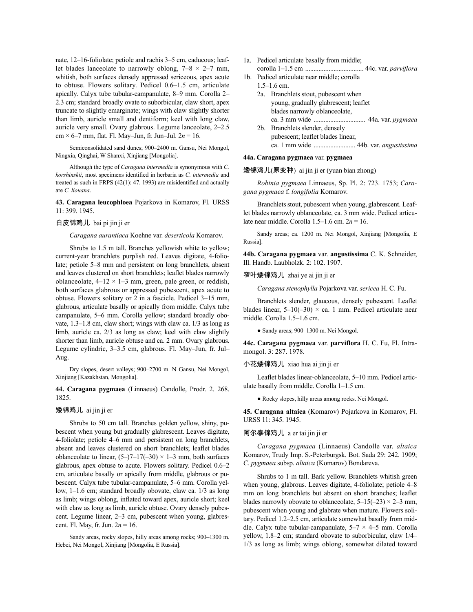nate, 12–16-foliolate; petiole and rachis 3–5 cm, caducous; leaflet blades lanceolate to narrowly oblong,  $7-8 \times 2-7$  mm, whitish, both surfaces densely appressed sericeous, apex acute to obtuse. Flowers solitary. Pedicel 0.6–1.5 cm, articulate apically. Calyx tube tubular-campanulate, 8–9 mm. Corolla 2– 2.3 cm; standard broadly ovate to suborbicular, claw short, apex truncate to slightly emarginate; wings with claw slightly shorter than limb, auricle small and dentiform; keel with long claw, auricle very small. Ovary glabrous. Legume lanceolate, 2–2.5 cm × 6–7 mm, flat. Fl. May–Jun, fr. Jun–Jul. 2*n* = 16.

Semiconsolidated sand dunes; 900–2400 m. Gansu, Nei Mongol, Ningxia, Qinghai, W Shanxi, Xinjiang [Mongolia].

Although the type of *Caragana intermedia* is synonymous with *C. korshinskii*, most specimens identified in herbaria as *C. intermedia* and treated as such in FRPS (42(1): 47. 1993) are misidentified and actually are *C. liouana*.

**43. Caragana leucophloea** Pojarkova in Komarov, Fl. URSS 11: 399. 1945.

# 白皮锦鸡儿 bai pi jin ji er

*Caragana aurantiaca* Koehne var. *deserticola* Komarov.

Shrubs to 1.5 m tall. Branches yellowish white to yellow; current-year branchlets purplish red. Leaves digitate, 4-foliolate; petiole 5–8 mm and persistent on long branchlets, absent and leaves clustered on short branchlets; leaflet blades narrowly oblanceolate,  $4-12 \times 1-3$  mm, green, pale green, or reddish, both surfaces glabrous or appressed pubescent, apex acute to obtuse. Flowers solitary or 2 in a fascicle. Pedicel 3–15 mm, glabrous, articulate basally or apically from middle. Calyx tube campanulate, 5–6 mm. Corolla yellow; standard broadly obovate, 1.3–1.8 cm, claw short; wings with claw ca. 1/3 as long as limb, auricle ca. 2/3 as long as claw; keel with claw slightly shorter than limb, auricle obtuse and ca. 2 mm. Ovary glabrous. Legume cylindric, 3–3.5 cm, glabrous. Fl. May–Jun, fr. Jul– Aug.

Dry slopes, desert valleys; 900–2700 m. N Gansu, Nei Mongol, Xinjiang [Kazakhstan, Mongolia].

**44. Caragana pygmaea** (Linnaeus) Candolle, Prodr. 2. 268. 1825.

### 矮锦鸡儿 ai jin ji er

Shrubs to 50 cm tall. Branches golden yellow, shiny, pubescent when young but gradually glabrescent. Leaves digitate, 4-foliolate; petiole 4–6 mm and persistent on long branchlets, absent and leaves clustered on short branchlets; leaflet blades oblanceolate to linear,  $(5-7-17(-30) \times 1-3$  mm, both surfaces glabrous, apex obtuse to acute. Flowers solitary. Pedicel 0.6–2 cm, articulate basally or apically from middle, glabrous or pubescent. Calyx tube tubular-campanulate, 5–6 mm. Corolla yellow, 1–1.6 cm; standard broadly obovate, claw ca. 1/3 as long as limb; wings oblong, inflated toward apex, auricle short; keel with claw as long as limb, auricle obtuse. Ovary densely pubescent. Legume linear, 2–3 cm, pubescent when young, glabrescent. Fl. May, fr. Jun. 2*n* = 16.

Sandy areas, rocky slopes, hilly areas among rocks; 900–1300 m. Hebei, Nei Mongol, Xinjiang [Mongolia, E Russia].

- 1a. Pedicel articulate basally from middle;
- corolla 1–1.5 cm ................................... 44c. var. *parviflora* 1b. Pedicel articulate near middle; corolla
	- $1.5-1.6$  cm.
		-
		- 2a. Branchlets stout, pubescent when young, gradually glabrescent; leaflet blades narrowly oblanceolate, ca. 3 mm wide ............................... 44a. var. *pygmaea*
		- 2b. Branchlets slender, densely pubescent; leaflet blades linear, ca. 1 mm wide ......................... 44b. var. *angustissima*

# **44a. Caragana pygmaea** var. **pygmaea**

矮锦鸡儿(原变种) ai jin ji er (yuan bian zhong)

*Robinia pygmaea* Linnaeus, Sp. Pl. 2: 723. 1753; *Caragana pygmaea* f. *longifolia* Komarov.

Branchlets stout, pubescent when young, glabrescent. Leaflet blades narrowly oblanceolate, ca. 3 mm wide. Pedicel articulate near middle. Corolla 1.5–1.6 cm. 2*n* = 16.

Sandy areas; ca. 1200 m. Nei Mongol, Xinjiang [Mongolia, E Russia].

**44b. Caragana pygmaea** var. **angustissima** C. K. Schneider, Ill. Handb. Laubholzk. 2: 102. 1907.

### 窄叶矮锦鸡儿 zhai ye ai jin ji er

*Caragana stenophylla* Pojarkova var. *sericea* H. C. Fu.

Branchlets slender, glaucous, densely pubescent. Leaflet blades linear,  $5-10(-30) \times$  ca. 1 mm. Pedicel articulate near middle. Corolla 1.5–1.6 cm.

● Sandy areas; 900–1300 m. Nei Mongol.

**44c. Caragana pygmaea** var. **parviflora** H. C. Fu, Fl. Intramongol. 3: 287. 1978.

### 小花矮锦鸡儿 xiao hua ai jin ji er

Leaflet blades linear-oblanceolate, 5–10 mm. Pedicel articulate basally from middle. Corolla 1–1.5 cm.

● Rocky slopes, hilly areas among rocks. Nei Mongol.

**45. Caragana altaica** (Komarov) Pojarkova in Komarov, Fl. URSS 11: 345. 1945.

### 阿尔泰锦鸡儿 a er tai jin ji er

*Caragana pygmaea* (Linnaeus) Candolle var. *altaica* Komarov, Trudy Imp. S.-Peterburgsk. Bot. Sada 29: 242. 1909; *C. pygmaea* subsp. *altaica* (Komarov) Bondareva.

Shrubs to 1 m tall. Bark yellow. Branchlets whitish green when young, glabrous. Leaves digitate, 4-foliolate; petiole 4–8 mm on long branchlets but absent on short branches; leaflet blades narrowly obovate to oblanceolate,  $5-15(-23) \times 2-3$  mm, pubescent when young and glabrate when mature. Flowers solitary. Pedicel 1.2–2.5 cm, articulate somewhat basally from middle. Calyx tube tubular-campanulate,  $5-7 \times 4-5$  mm. Corolla yellow, 1.8–2 cm; standard obovate to suborbicular, claw 1/4– 1/3 as long as limb; wings oblong, somewhat dilated toward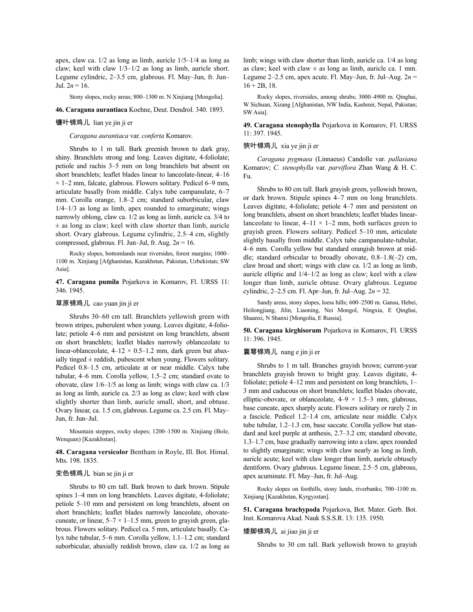apex, claw ca. 1/2 as long as limb, auricle 1/5–1/4 as long as claw; keel with claw 1/3–1/2 as long as limb, auricle short. Legume cylindric, 2–3.5 cm, glabrous. Fl. May–Jun, fr. Jun– Jul.  $2n = 16$ .

Stony slopes, rocky areas; 800–1300 m. N Xinjiang [Mongolia].

**46. Caragana aurantiaca** Koehne, Deut. Dendrol. 340. 1893.

### 镰叶锦鸡儿 lian ye jin ji er

*Caragana aurantiaca* var. *conferta* Komarov.

Shrubs to 1 m tall. Bark greenish brown to dark gray, shiny. Branchlets strong and long. Leaves digitate, 4-foliolate; petiole and rachis 3–5 mm on long branchlets but absent on short branchlets; leaflet blades linear to lanceolate-linear, 4–16  $\times$  1–2 mm, falcate, glabrous. Flowers solitary. Pedicel 6–9 mm, articulate basally from middle. Calyx tube campanulate, 6–7 mm. Corolla orange, 1.8–2 cm; standard suborbicular, claw  $1/4-1/3$  as long as limb, apex rounded to emarginate; wings narrowly oblong, claw ca. 1/2 as long as limb, auricle ca. 3/4 to  $\pm$  as long as claw; keel with claw shorter than limb, auricle short. Ovary glabrous. Legume cylindric, 2.5–4 cm, slightly compressed, glabrous. Fl. Jun–Jul, fr. Aug. 2*n* = 16.

Rocky slopes, bottomlands near riversides, forest margins; 1000– 1100 m. Xinjiang [Afghanistan, Kazakhstan, Pakistan, Uzbekistan; SW Asia].

**47. Caragana pumila** Pojarkova in Komarov, Fl. URSS 11: 346. 1945.

#### 草原锦鸡儿 cao yuan jin ji er

Shrubs 30–60 cm tall. Branchlets yellowish green with brown stripes, puberulent when young. Leaves digitate, 4-foliolate; petiole 4–6 mm and persistent on long branchlets, absent on short branchlets; leaflet blades narrowly oblanceolate to linear-oblanceolate,  $4-12 \times 0.5-1.2$  mm, dark green but abaxially tinged  $\pm$  reddish, pubescent when young. Flowers solitary. Pedicel 0.8–1.5 cm, articulate at or near middle. Calyx tube tubular, 4–6 mm. Corolla yellow, 1.5–2 cm; standard ovate to obovate, claw 1/6–1/5 as long as limb; wings with claw ca. 1/3 as long as limb, auricle ca. 2/3 as long as claw; keel with claw slightly shorter than limb, auricle small, short, and obtuse. Ovary linear, ca. 1.5 cm, glabrous. Legume ca. 2.5 cm. Fl. May– Jun, fr. Jun–Jul.

Mountain steppes, rocky slopes; 1200–1500 m. Xinjiang (Bole, Wenquan) [Kazakhstan].

**48. Caragana versicolor** Bentham in Royle, Ill. Bot. Himal. Mts. 198. 1835.

## 变色锦鸡儿 bian se jin ji er

Shrubs to 80 cm tall. Bark brown to dark brown. Stipule spines 1–4 mm on long branchlets. Leaves digitate, 4-foliolate; petiole 5–10 mm and persistent on long branchlets, absent on short branchlets; leaflet blades narrowly lanceolate, obovatecuneate, or linear,  $5-7 \times 1-1.5$  mm, green to gravish green, glabrous. Flowers solitary. Pedicel ca. 5 mm, articulate basally. Calyx tube tubular, 5–6 mm. Corolla yellow, 1.1–1.2 cm; standard suborbicular, abaxially reddish brown, claw ca. 1/2 as long as limb; wings with claw shorter than limb, auricle ca. 1/4 as long as claw; keel with claw  $\pm$  as long as limb, auricle ca. 1 mm. Legume 2–2.5 cm, apex acute. Fl. May–Jun, fr. Jul–Aug.  $2n =$  $16 + 2B$ , 18.

Rocky slopes, riversides, among shrubs; 3000–4900 m. Qinghai, W Sichuan, Xizang [Afghanistan, NW India, Kashmir, Nepal, Pakistan; SW Asia].

**49. Caragana stenophylla** Pojarkova in Komarov, Fl. URSS 11: 397. 1945.

# 狭叶锦鸡儿 xia ye jin ji er

*Caragana pygmaea* (Linnaeus) Candolle var. *pallasiana* Komarov; *C. stenophylla* var. *parviflora* Zhan Wang & H. C. Fu.

Shrubs to 80 cm tall. Bark grayish green, yellowish brown, or dark brown. Stipule spines 4–7 mm on long branchlets. Leaves digitate, 4-foliolate; petiole 4–7 mm and persistent on long branchlets, absent on short branchlets; leaflet blades linearlanceolate to linear,  $4-11 \times 1-2$  mm, both surfaces green to grayish green. Flowers solitary. Pedicel 5–10 mm, articulate slightly basally from middle. Calyx tube campanulate-tubular, 4–6 mm. Corolla yellow but standard orangish brown at middle; standard orbicular to broadly obovate, 0.8–1.8(–2) cm, claw broad and short; wings with claw ca. 1/2 as long as limb, auricle elliptic and 1/4–1/2 as long as claw; keel with a claw longer than limb, auricle obtuse. Ovary glabrous. Legume cylindric, 2–2.5 cm. Fl. Apr–Jun, fr. Jul–Aug. 2*n* = 32.

Sandy areas, stony slopes, loess hills; 600–2500 m. Gansu, Hebei, Heilongjiang, Jilin, Liaoning, Nei Mongol, Ningxia, E Qinghai, Shaanxi, N Shanxi [Mongolia, E Russia].

**50. Caragana kirghisorum** Pojarkova in Komarov, Fl. URSS 11: 396. 1945.

### 囊萼锦鸡儿 nang e jin ji er

Shrubs to 1 m tall. Branches grayish brown; current-year branchlets grayish brown to bright gray. Leaves digitate, 4 foliolate; petiole 4–12 mm and persistent on long branchlets, 1– 3 mm and caducous on short branchlets; leaflet blades obovate, elliptic-obovate, or oblanceolate,  $4-9 \times 1.5-3$  mm, glabrous, base cuneate, apex sharply acute. Flowers solitary or rarely 2 in a fascicle. Pedicel 1.2–1.4 cm, articulate near middle. Calyx tube tubular, 1.2–1.3 cm, base saccate. Corolla yellow but standard and keel purple at anthesis, 2.7–3.2 cm; standard obovate, 1.3–1.7 cm, base gradually narrowing into a claw, apex rounded to slightly emarginate; wings with claw nearly as long as limb, auricle acute; keel with claw longer than limb, auricle obtusely dentiform. Ovary glabrous. Legume linear, 2.5–5 cm, glabrous, apex acuminate. Fl. May–Jun, fr. Jul–Aug.

Rocky slopes on foothills, stony lands, riverbanks; 700–1100 m. Xinjiang [Kazakhstan, Kyrgyzstan].

**51. Caragana brachypoda** Pojarkova, Bot. Mater. Gerb. Bot. Inst. Komarova Akad. Nauk S.S.S.R. 13: 135. 1950.

### 矮脚锦鸡儿 ai jiao jin ji er

Shrubs to 30 cm tall. Bark yellowish brown to grayish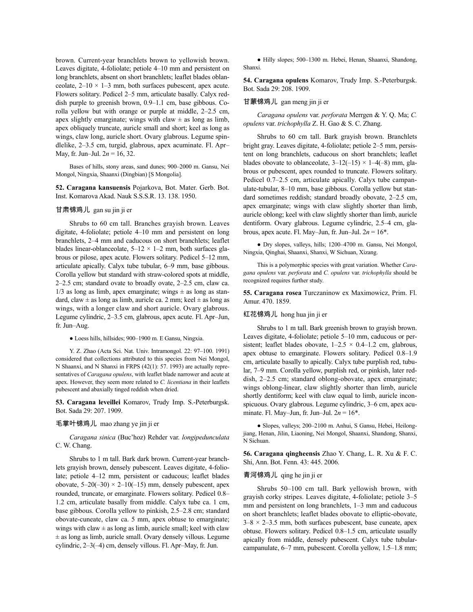brown. Current-year branchlets brown to yellowish brown. Leaves digitate, 4-foliolate; petiole 4–10 mm and persistent on long branchlets, absent on short branchlets; leaflet blades oblanceolate,  $2-10 \times 1-3$  mm, both surfaces pubescent, apex acute. Flowers solitary. Pedicel 2–5 mm, articulate basally. Calyx reddish purple to greenish brown, 0.9–1.1 cm, base gibbous. Corolla yellow but with orange or purple at middle, 2–2.5 cm, apex slightly emarginate; wings with claw  $\pm$  as long as limb, apex obliquely truncate, auricle small and short; keel as long as wings, claw long, auricle short. Ovary glabrous. Legume spindlelike, 2–3.5 cm, turgid, glabrous, apex acuminate. Fl. Apr– May, fr. Jun–Jul. 2*n* = 16, 32.

Bases of hills, stony areas, sand dunes; 900–2000 m. Gansu, Nei Mongol, Ningxia, Shaanxi (Dingbian) [S Mongolia].

**52. Caragana kansuensis** Pojarkova, Bot. Mater. Gerb. Bot. Inst. Komarova Akad. Nauk S.S.S.R. 13. 138. 1950.

#### 甘肃锦鸡儿 gan su jin ji er

Shrubs to 60 cm tall. Branches grayish brown. Leaves digitate, 4-foliolate; petiole 4–10 mm and persistent on long branchlets, 2–4 mm and caducous on short branchlets; leaflet blades linear-oblanceolate,  $5-12 \times 1-2$  mm, both surfaces glabrous or pilose, apex acute. Flowers solitary. Pedicel 5–12 mm, articulate apically. Calyx tube tubular, 6–9 mm, base gibbous. Corolla yellow but standard with straw-colored spots at middle, 2–2.5 cm; standard ovate to broadly ovate, 2–2.5 cm, claw ca.  $1/3$  as long as limb, apex emarginate; wings  $\pm$  as long as standard, claw  $\pm$  as long as limb, auricle ca. 2 mm; keel  $\pm$  as long as wings, with a longer claw and short auricle. Ovary glabrous. Legume cylindric, 2–3.5 cm, glabrous, apex acute. Fl. Apr–Jun, fr. Jun–Aug.

● Loess hills, hillsides; 900–1900 m. E Gansu, Ningxia.

Y. Z. Zhao (Acta Sci. Nat. Univ. Intramongol. 22: 97–100. 1991) considered that collections attributed to this species from Nei Mongol, N Shaanxi, and N Shanxi in FRPS (42(1): 57. 1993) are actually representatives of *Caragana opulens*, with leaflet blade narrower and acute at apex. However, they seem more related to *C. licentiana* in their leaflets pubescent and abaxially tinged reddish when dried.

**53. Caragana leveillei** Komarov, Trudy Imp. S.-Peterburgsk. Bot. Sada 29: 207. 1909.

### 毛掌叶锦鸡儿 mao zhang ye jin ji er

*Caragana sinica* (Buc'hoz) Rehder var. *longipedunculata* C. W. Chang.

Shrubs to 1 m tall. Bark dark brown. Current-year branchlets grayish brown, densely pubescent. Leaves digitate, 4-foliolate; petiole 4–12 mm, persistent or caducous; leaflet blades obovate,  $5-20(-30) \times 2-10(-15)$  mm, densely pubescent, apex rounded, truncate, or emarginate. Flowers solitary. Pedicel 0.8– 1.2 cm, articulate basally from middle. Calyx tube ca. 1 cm, base gibbous. Corolla yellow to pinkish, 2.5–2.8 cm; standard obovate-cuneate, claw ca. 5 mm, apex obtuse to emarginate; wings with claw  $\pm$  as long as limb, auricle small; keel with claw  $\pm$  as long as limb, auricle small. Ovary densely villous. Legume cylindric, 2–3(–4) cm, densely villous. Fl. Apr–May, fr. Jun.

● Hilly slopes; 500–1300 m. Hebei, Henan, Shaanxi, Shandong, Shanxi.

**54. Caragana opulens** Komarov, Trudy Imp. S.-Peterburgsk. Bot. Sada 29: 208. 1909.

### 甘蒙锦鸡儿 gan meng jin ji er

*Caragana opulens* var. *perforata* Merrgen & Y. Q. Ma; *C. opulens* var. *trichophylla* Z. H. Gao & S. C. Zhang.

Shrubs to 60 cm tall. Bark grayish brown. Branchlets bright gray. Leaves digitate, 4-foliolate; petiole 2–5 mm, persistent on long branchlets, caducous on short branchlets; leaflet blades obovate to oblanceolate,  $3-12(-15) \times 1-4(-8)$  mm, glabrous or pubescent, apex rounded to truncate. Flowers solitary. Pedicel 0.7–2.5 cm, articulate apically. Calyx tube campanulate-tubular, 8–10 mm, base gibbous. Corolla yellow but standard sometimes reddish; standard broadly obovate, 2–2.5 cm, apex emarginate; wings with claw slightly shorter than limb, auricle oblong; keel with claw slightly shorter than limb, auricle dentiform. Ovary glabrous. Legume cylindric, 2.5–4 cm, glabrous, apex acute. Fl. May–Jun, fr. Jun–Jul.  $2n = 16^*$ .

● Dry slopes, valleys, hills; 1200–4700 m. Gansu, Nei Mongol, Ningxia, Qinghai, Shaanxi, Shanxi, W Sichuan, Xizang.

This is a polymorphic species with great variation. Whether *Caragana opulens* var. *perforata* and *C. opulens* var. *trichophylla* should be recognized requires further study.

**55. Caragana rosea** Turczaninow ex Maximowicz, Prim. Fl. Amur. 470. 1859.

### 红花锦鸡儿 hong hua jin ji er

Shrubs to 1 m tall. Bark greenish brown to grayish brown. Leaves digitate, 4-foliolate; petiole 5–10 mm, caducous or persistent; leaflet blades obovate,  $1-2.5 \times 0.4-1.2$  cm, glabrous, apex obtuse to emarginate. Flowers solitary. Pedicel 0.8–1.9 cm, articulate basally to apically. Calyx tube purplish red, tubular, 7–9 mm. Corolla yellow, purplish red, or pinkish, later reddish, 2–2.5 cm; standard oblong-obovate, apex emarginate; wings oblong-linear, claw slightly shorter than limb, auricle shortly dentiform; keel with claw equal to limb, auricle inconspicuous. Ovary glabrous. Legume cylindric, 3–6 cm, apex acuminate. Fl. May–Jun, fr. Jun–Jul. 2*n* = 16\*.

● Slopes, valleys; 200–2100 m. Anhui, S Gansu, Hebei, Heilongjiang, Henan, Jilin, Liaoning, Nei Mongol, Shaanxi, Shandong, Shanxi, N Sichuan.

**56. Caragana qingheensis** Zhao Y. Chang, L. R. Xu & F. C. Shi, Ann. Bot. Fenn. 43: 445. 2006.

# 青河锦鸡儿 qing he jin ji er

Shrubs 50–100 cm tall. Bark yellowish brown, with grayish corky stripes. Leaves digitate, 4-foliolate; petiole 3–5 mm and persistent on long branchlets, 1–3 mm and caducous on short branchlets; leaflet blades obovate to elliptic-obovate,  $3-8 \times 2-3.5$  mm, both surfaces pubescent, base cuneate, apex obtuse. Flowers solitary. Pedicel 0.8–1.5 cm, articulate usually apically from middle, densely pubescent. Calyx tube tubularcampanulate, 6–7 mm, pubescent. Corolla yellow, 1.5–1.8 mm;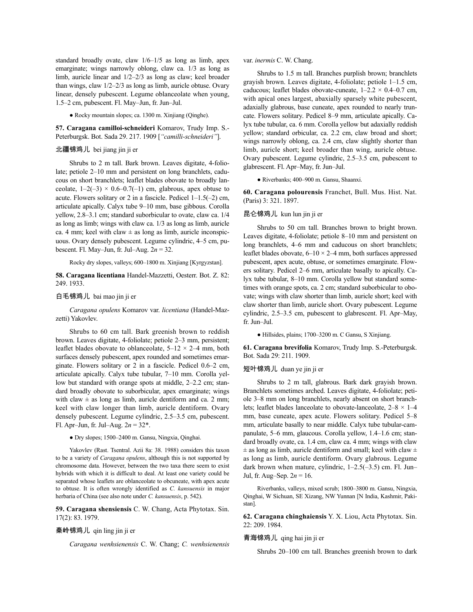standard broadly ovate, claw 1/6–1/5 as long as limb, apex emarginate; wings narrowly oblong, claw ca. 1/3 as long as limb, auricle linear and 1/2–2/3 as long as claw; keel broader than wings, claw 1/2–2/3 as long as limb, auricle obtuse. Ovary linear, densely pubescent. Legume oblanceolate when young, 1.5–2 cm, pubescent. Fl. May–Jun, fr. Jun–Jul.

● Rocky mountain slopes; ca. 1300 m. Xinjiang (Qinghe).

**57. Caragana camilloi-schneideri** Komarov, Trudy Imp. S.- Peterburgsk. Bot. Sada 29. 217. 1909 [*"camilli-schneideri"*].

# 北疆锦鸡儿 bei jiang jin ji er

Shrubs to 2 m tall. Bark brown. Leaves digitate, 4-foliolate; petiole 2–10 mm and persistent on long branchlets, caducous on short branchlets; leaflet blades obovate to broadly lanceolate,  $1-2(-3) \times 0.6-0.7(-1)$  cm, glabrous, apex obtuse to acute. Flowers solitary or 2 in a fascicle. Pedicel  $1-1.5(-2)$  cm, articulate apically. Calyx tube 9–10 mm, base gibbous. Corolla yellow, 2.8–3.1 cm; standard suborbicular to ovate, claw ca. 1/4 as long as limb; wings with claw ca. 1/3 as long as limb, auricle ca. 4 mm; keel with claw  $\pm$  as long as limb, auricle inconspicuous. Ovary densely pubescent. Legume cylindric, 4–5 cm, pubescent. Fl. May–Jun, fr. Jul–Aug. 2*n* = 32.

Rocky dry slopes, valleys; 600–1800 m. Xinjiang [Kyrgyzstan].

**58. Caragana licentiana** Handel-Mazzetti, Oesterr. Bot. Z. 82: 249. 1933.

### 白毛锦鸡儿 bai mao jin ji er

*Caragana opulens* Komarov var. *licentiana* (Handel-Mazzetti) Yakovlev.

Shrubs to 60 cm tall. Bark greenish brown to reddish brown. Leaves digitate, 4-foliolate; petiole 2–3 mm, persistent; leaflet blades obovate to oblanceolate,  $5-12 \times 2-4$  mm, both surfaces densely pubescent, apex rounded and sometimes emarginate. Flowers solitary or 2 in a fascicle. Pedicel 0.6–2 cm, articulate apically. Calyx tube tubular, 7–10 mm. Corolla yellow but standard with orange spots at middle, 2–2.2 cm; standard broadly obovate to suborbicular, apex emarginate; wings with claw  $\pm$  as long as limb, auricle dentiform and ca. 2 mm; keel with claw longer than limb, auricle dentiform. Ovary densely pubescent. Legume cylindric, 2.5–3.5 cm, pubescent. Fl. Apr–Jun, fr. Jul–Aug. 2*n* = 32\*.

● Dry slopes; 1500–2400 m. Gansu, Ningxia, Qinghai.

Yakovlev (Rast. Tsentral. Azii 8a: 38. 1988) considers this taxon to be a variety of *Caragana opulens*, although this is not supported by chromosome data. However, between the two taxa there seem to exist hybrids with which it is difficult to deal. At least one variety could be separated whose leaflets are oblanceolate to obcuneate, with apex acute to obtuse. It is often wrongly identified as *C. kansuensis* in major herbaria of China (see also note under *C. kansuensis*, p. 542).

**59. Caragana shensiensis** C. W. Chang, Acta Phytotax. Sin. 17(2): 83. 1979.

## 秦岭锦鸡儿 qin ling jin ji er

*Caragana wenhsienensis* C. W. Chang; *C. wenhsienensis*

var. *inermis* C. W. Chang.

Shrubs to 1.5 m tall. Branches purplish brown; branchlets grayish brown. Leaves digitate, 4-foliolate; petiole 1–1.5 cm, caducous; leaflet blades obovate-cuneate,  $1-2.2 \times 0.4-0.7$  cm, with apical ones largest, abaxially sparsely white pubescent, adaxially glabrous, base cuneate, apex rounded to nearly truncate. Flowers solitary. Pedicel 8–9 mm, articulate apically. Calyx tube tubular, ca. 6 mm. Corolla yellow but adaxially reddish yellow; standard orbicular, ca. 2.2 cm, claw broad and short; wings narrowly oblong, ca. 2.4 cm, claw slightly shorter than limb, auricle short; keel broader than wing, auricle obtuse. Ovary pubescent. Legume cylindric, 2.5–3.5 cm, pubescent to glabrescent. Fl. Apr–May, fr. Jun–Jul.

● Riverbanks; 400–900 m. Gansu, Shaanxi.

**60. Caragana polourensis** Franchet, Bull. Mus. Hist. Nat. (Paris) 3: 321. 1897.

### 昆仑锦鸡儿 kun lun jin ji er

Shrubs to 50 cm tall. Branches brown to bright brown. Leaves digitate, 4-foliolate; petiole 8–10 mm and persistent on long branchlets, 4–6 mm and caducous on short branchlets; leaflet blades obovate,  $6-10 \times 2-4$  mm, both surfaces appressed pubescent, apex acute, obtuse, or sometimes emarginate. Flowers solitary. Pedicel 2–6 mm, articulate basally to apically. Calyx tube tubular, 8–10 mm. Corolla yellow but standard sometimes with orange spots, ca. 2 cm; standard suborbicular to obovate; wings with claw shorter than limb, auricle short; keel with claw shorter than limb, auricle short. Ovary pubescent. Legume cylindric, 2.5–3.5 cm, pubescent to glabrescent. Fl. Apr–May, fr. Jun–Jul.

● Hillsides, plains; 1700–3200 m. C Gansu, S Xinjiang.

**61. Caragana brevifolia** Komarov, Trudy Imp. S.-Peterburgsk. Bot. Sada 29: 211. 1909.

# 短叶锦鸡儿 duan ye jin ji er

Shrubs to 2 m tall, glabrous. Bark dark grayish brown. Branchlets sometimes arched. Leaves digitate, 4-foliolate; petiole 3–8 mm on long branchlets, nearly absent on short branchlets; leaflet blades lanceolate to obovate-lanceolate,  $2-8 \times 1-4$ mm, base cuneate, apex acute. Flowers solitary. Pedicel 5–8 mm, articulate basally to near middle. Calyx tube tubular-campanulate, 5–6 mm, glaucous. Corolla yellow, 1.4–1.6 cm; standard broadly ovate, ca. 1.4 cm, claw ca. 4 mm; wings with claw  $\pm$  as long as limb, auricle dentiform and small; keel with claw  $\pm$ as long as limb, auricle dentiform. Ovary glabrous. Legume dark brown when mature, cylindric, 1–2.5(–3.5) cm. Fl. Jun– Jul, fr. Aug–Sep. 2*n* = 16.

Riverbanks, valleys, mixed scrub; 1800–3800 m. Gansu, Ningxia, Qinghai, W Sichuan, SE Xizang, NW Yunnan [N India, Kashmir, Pakistan].

**62. Caragana chinghaiensis** Y. X. Liou, Acta Phytotax. Sin. 22: 209. 1984.

#### 青海锦鸡儿 qing hai jin ji er

Shrubs 20–100 cm tall. Branches greenish brown to dark